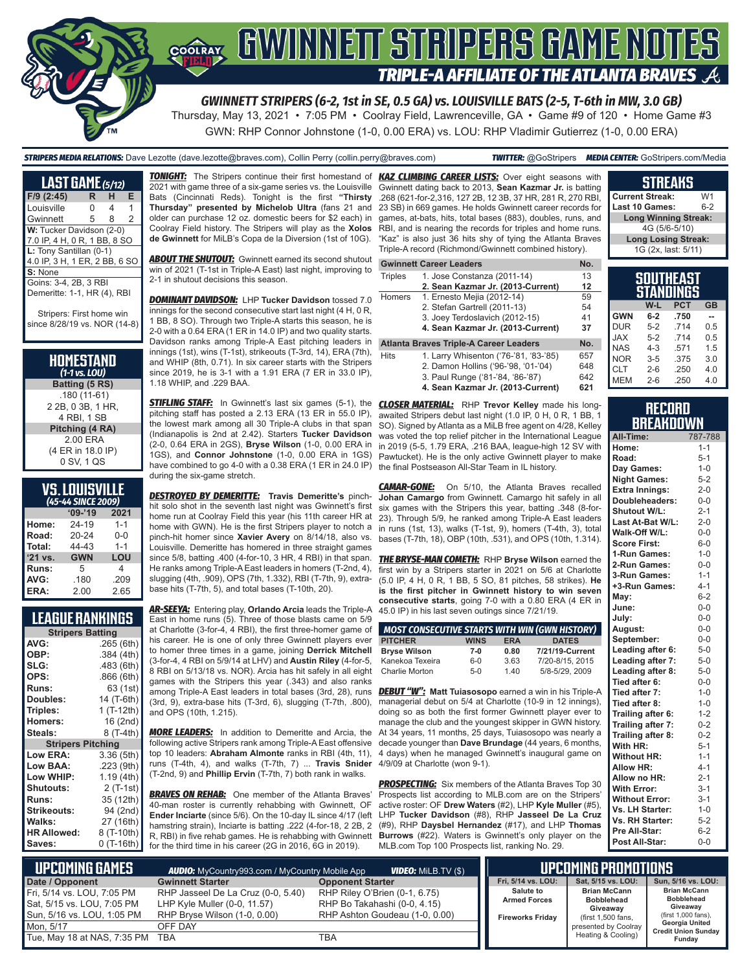

Thursday, May 13, 2021 • 7:05 PM • Coolray Field, Lawrenceville, GA • Game #9 of 120 • Home Game #3 GWN: RHP Connor Johnstone (1-0, 0.00 ERA) vs. LOU: RHP Vladimir Gutierrez (1-0, 0.00 ERA)

| <b>STRIPERS MEDIA RELATIONS:</b> Dave Lezotte (dave.lezotte@braves.com), Collin Perry (collin.perry@braves.com) |  |  |  |
|-----------------------------------------------------------------------------------------------------------------|--|--|--|
|-----------------------------------------------------------------------------------------------------------------|--|--|--|

| <b>LAST GAME</b> (5/12)       |   |   |   |
|-------------------------------|---|---|---|
| F/9 (2:45)                    | R | н | Е |
| Louisville                    | N | 4 | 1 |
| Gwinnett                      | 5 | 8 | 2 |
| W: Tucker Davidson (2-0)      |   |   |   |
| 7.0 IP, 4 H, 0 R, 1 BB, 8 SO  |   |   |   |
| L: Tony Santillan (0-1)       |   |   |   |
| 4.0 IP, 3 H, 1 ER, 2 BB, 6 SO |   |   |   |
| S: None                       |   |   |   |
| Goins: 3-4, 2B, 3 RBI         |   |   |   |
| Demeritte: 1-1, HR (4), RBI   |   |   |   |
|                               |   |   |   |
| Striners: First home wi       |   |   |   |

since 8/28/19 vs. NOR (14-8)

| HOMESTAND        |
|------------------|
| $(1-1)$ vs. LOU) |
| Ratting (5 RS)   |

**Batting (5 RS)** .180 (11-61) 2 2B, 0 3B, 1 HR, 4 RBI, 1 SB **Pitching (4 RA)** 2.00 ERA (4 ER in 18.0 IP) 0 SV, 1 QS

| <b>VS.LOUISVILLE</b>       |  |  |
|----------------------------|--|--|
| $\mu$ E- $\mu$ cince 2000) |  |  |

| (45-44 SINCE 2 <u>009)</u> |            |         |  |  |
|----------------------------|------------|---------|--|--|
|                            | $'09-'19$  | 2021    |  |  |
| Home:                      | 24-19      | $1 - 1$ |  |  |
| Road:                      | 20-24      | $0 - 0$ |  |  |
| Total:                     | 44-43      | $1 - 1$ |  |  |
| '21 vs.                    | <b>GWN</b> | LOU     |  |  |
| Runs:                      | 5          | 4       |  |  |
| AVG:                       | .180       | .209    |  |  |
| ERA:                       | 2.00       | 2.65    |  |  |

### **LEAGUE RANKINGS**

|                          | <b>Stripers Batting</b> |  |  |  |  |
|--------------------------|-------------------------|--|--|--|--|
| AVG:                     | .265(6th)               |  |  |  |  |
| OBP:                     | .384 (4th)              |  |  |  |  |
| SLG:                     | .483 (6th)              |  |  |  |  |
| OPS:                     | .866(6th)               |  |  |  |  |
| <b>Runs:</b>             | 63 (1st)                |  |  |  |  |
| Doubles:                 | 14 (T-6th)              |  |  |  |  |
| Triples:                 | 1 (T-12th)              |  |  |  |  |
| <b>Homers:</b>           | 16 (2nd)                |  |  |  |  |
| Steals:                  | 8 (T-4th)               |  |  |  |  |
| <b>Stripers Pitching</b> |                         |  |  |  |  |
| <b>Low ERA:</b>          | 3.36 (5th)              |  |  |  |  |
| Low BAA:                 | .223 (9th)              |  |  |  |  |
| Low WHIP:                | 1.19 (4th)              |  |  |  |  |
| <b>Shutouts:</b>         | $2($ T-1st $)$          |  |  |  |  |
| <b>Runs:</b>             | 35 (12th)               |  |  |  |  |
| Strikeouts:              | 94 (2nd)                |  |  |  |  |
| Walks:                   | 27 (16th)               |  |  |  |  |
| <b>HR Allowed:</b>       | 8 (T-10th)              |  |  |  |  |
| Saves:                   | $0(T-16th)$             |  |  |  |  |

*TONIGHT:* The Stripers continue their first homestand of *KAZ CLIMBING CAREER LISTS:* Over eight seasons with 2021 with game three of a six-game series vs. the Louisville Bats (Cincinnati Reds). Tonight is the first **"Thirsty Thursday" presented by Michelob Ultra** (fans 21 and older can purchase 12 oz. domestic beers for \$2 each) in Coolray Field history. The Stripers will play as the **Xolos de Gwinnett** for MiLB's Copa de la Diversion (1st of 10G).

**ABOUT THE SHUTOUT:** Gwinnett earned its second shutout win of 2021 (T-1st in Triple-A East) last night, improving to 2-1 in shutout decisions this season.

*DOMINANT DAVIDSON:* LHP **Tucker Davidson** tossed 7.0 innings for the second consecutive start last night (4 H, 0 R, 1 BB, 8 SO). Through two Triple-A starts this season, he is 2-0 with a 0.64 ERA (1 ER in 14.0 IP) and two quality starts. Davidson ranks among Triple-A East pitching leaders in innings (1st), wins (T-1st), strikeouts (T-3rd, 14), ERA (7th),  $\overline{\phantom{a}}_{\overline{b}}$ and WHIP (8th, 0.71). In six career starts with the Stripers since 2019, he is 3-1 with a 1.91 ERA (7 ER in 33.0 IP), 1.18 WHIP, and .229 BAA.

**STIFLING STAFF:** In Gwinnett's last six games (5-1), the pitching staff has posted a 2.13 ERA (13 ER in 55.0 IP), the lowest mark among all 30 Triple-A clubs in that span (Indianapolis is 2nd at 2.42). Starters **Tucker Davidson** (2-0, 0.64 ERA in 2GS), **Bryse Wilson** (1-0, 0.00 ERA in 1GS), and **Connor Johnstone** (1-0, 0.00 ERA in 1GS) have combined to go 4-0 with a 0.38 ERA (1 ER in 24.0 IP) during the six-game stretch.

*DESTROYED BY DEMERITTE:* **Travis Demeritte's** pinchhit solo shot in the seventh last night was Gwinnett's first home run at Coolray Field this year (his 11th career HR at home with GWN). He is the first Stripers player to notch a pinch-hit homer since **Xavier Avery** on 8/14/18, also vs. Louisville. Demeritte has homered in three straight games since 5/8, batting .400 (4-for-10, 3 HR, 4 RBI) in that span. He ranks among Triple-A East leaders in homers (T-2nd, 4), slugging (4th, .909), OPS (7th, 1.332), RBI (T-7th, 9), extrabase hits (T-7th, 5), and total bases (T-10th, 20).

*AR-SEEYA:* Entering play, **Orlando Arcia** leads the Triple-A East in home runs (5). Three of those blasts came on 5/9 at Charlotte (3-for-4, 4 RBI), the first three-homer game of his career. He is one of only three Gwinnett players ever to homer three times in a game, joining **Derrick Mitchell** (3-for-4, 4 RBI on 5/9/14 at LHV) and **Austin Riley** (4-for-5, 8 RBI on 5/13/18 vs. NOR). Arcia has hit safely in all eight games with the Stripers this year (.343) and also ranks among Triple-A East leaders in total bases (3rd, 28), runs *DEBUT "W":* **Matt Tuiasosopo** earned a win in his Triple-A (3rd, 9), extra-base hits (T-3rd, 6), slugging (T-7th, .800), managerial debut on 5/4 at Charlotte (10-9 in 12 innings), and OPS (10th, 1.215).

*MORE LEADERS:* In addition to Demeritte and Arcia, the following active Stripers rank among Triple-A East offensive top 10 leaders: **Abraham Almonte** ranks in RBI (4th, 11), runs (T-4th, 4), and walks (T-7th, 7) ... **Travis Snider** (T-2nd, 9) and **Phillip Ervin** (T-7th, 7) both rank in walks.

**BRAVES ON REHAB:** One member of the Atlanta Braves' 40-man roster is currently rehabbing with Gwinnett, OF **Ender Inciarte** (since 5/6). On the 10-day IL since 4/17 (left hamstring strain), Inciarte is batting .222 (4-for-18, 2 2B, 2 R, RBI) in five rehab games. He is rehabbing with Gwinnett for the third time in his career (2G in 2016, 6G in 2019).

Gwinnett dating back to 2013, **Sean Kazmar Jr.** is batting .268 (621-for-2,316, 127 2B, 12 3B, 37 HR, 281 R, 270 RBI, 23 SB) in 669 games. He holds Gwinnett career records for games, at-bats, hits, total bases (883), doubles, runs, and RBI, and is nearing the records for triples and home runs. "Kaz" is also just 36 hits shy of tying the Atlanta Braves Triple-A record (Richmond/Gwinnett combined history).

|                | <b>Gwinnett Career Leaders</b>         | No. |
|----------------|----------------------------------------|-----|
| <b>Triples</b> | 1. Jose Constanza (2011-14)            | 13  |
|                | 2. Sean Kazmar Jr. (2013-Current)      | 12  |
| Homers         | 1. Ernesto Mejia (2012-14)             | 59  |
|                | 2. Stefan Gartrell (2011-13)           | 54  |
|                | 3. Joey Terdoslavich (2012-15)         | 41  |
|                | 4. Sean Kazmar Jr. (2013-Current)      | 37  |
|                | Atlanta Braves Triple-A Career Leaders | No. |
| Hits           | 1. Larry Whisenton ('76-'81, '83-'85)  | 657 |

2. Damon Hollins ('96-'98, '01-'04) 648<br>3. Paul Runge ('81-'84, '86-'87) 642 3. Paul Runge ('81-'84, '86-'87)

**4. Sean Kazmar Jr. (2013-Current) 621**

*CLOSER MATERIAL:* RHP **Trevor Kelley** made his longawaited Stripers debut last night (1.0 IP, 0 H, 0 R, 1 BB, 1 SO). Signed by Atlanta as a MiLB free agent on 4/28, Kelley was voted the top relief pitcher in the International League in 2019 (5-5, 1.79 ERA, .216 BAA, league-high 12 SV with Pawtucket). He is the only active Gwinnett player to make the final Postseason All-Star Team in IL history.

*CAMAR-GONE:* On 5/10, the Atlanta Braves recalled **Johan Camargo** from Gwinnett. Camargo hit safely in all six games with the Stripers this year, batting .348 (8-for-23). Through 5/9, he ranked among Triple-A East leaders in runs (1st, 13), walks (T-1st, 9), homers (T-4th, 3), total bases (T-7th, 18), OBP (10th, .531), and OPS (10th, 1.314).

*THE BRYSE-MAN COMETH:* RHP **Bryse Wilson** earned the first win by a Stripers starter in 2021 on 5/6 at Charlotte (5.0 IP, 4 H, 0 R, 1 BB, 5 SO, 81 pitches, 58 strikes). **He is the first pitcher in Gwinnett history to win seven consecutive starts**, going 7-0 with a 0.80 ERA (4 ER in 45.0 IP) in his last seven outings since 7/21/19.

|                       |             |            | <b>MOST CONSECUTIVE STARTS WITH WIN (GWN HISTORY)</b> |
|-----------------------|-------------|------------|-------------------------------------------------------|
| <b>PITCHER</b>        | <b>WINS</b> | <b>ERA</b> | <b>DATES</b>                                          |
| <b>Bryse Wilson</b>   | $7-0$       | 0.80       | 7/21/19-Current                                       |
| Kanekoa Texeira       | $6 - 0$     | 3.63       | 7/20-8/15, 2015                                       |
| <b>Charlie Morton</b> | $5-0$       | 1.40       | 5/8-5/29, 2009                                        |

doing so as both the first former Gwinnett player ever to manage the club and the youngest skipper in GWN history. At 34 years, 11 months, 25 days, Tuiasosopo was nearly a decade younger than **Dave Brundage** (44 years, 6 months, 4 days) when he managed Gwinnett's inaugural game on 4/9/09 at Charlotte (won 9-1).

**PROSPECTING:** Six members of the Atlanta Braves Top 30 Prospects list according to MLB.com are on the Stripers' active roster: OF **Drew Waters** (#2), LHP **Kyle Muller** (#5), LHP **Tucker Davidson** (#8), RHP **Jasseel De La Cruz** (#9), RHP **Daysbel Hernandez** (#17), and LHP **Thomas Burrows** (#22). Waters is Gwinnett's only player on the MLB.com Top 100 Prospects list, ranking No. 29.

| <b>Current Streak:</b>      | W1      |
|-----------------------------|---------|
| Last 10 Games:              | $6 - 2$ |
| <b>Long Winning Streak:</b> |         |
| 4G (5/6-5/10)               |         |
| <b>Long Losing Streak:</b>  |         |
| 1G (2x, last: 5/11)         |         |
|                             |         |
| <b>SOUTHEAST</b>            |         |

**STREAKS**

| <b>STANDINGS</b> |         |            |           |  |
|------------------|---------|------------|-----------|--|
|                  | W-L     | <b>PCT</b> | <b>GB</b> |  |
| <b>GWN</b>       | $6-2$   | .750       |           |  |
| <b>DUR</b>       | $5-2$   | 714        | 0.5       |  |
| <b>XAL</b>       | $5-2$   | 714        | 0.5       |  |
| <b>NAS</b>       | $4 - 3$ | .571       | 1.5       |  |
| <b>NOR</b>       | $3 - 5$ | .375       | 3.0       |  |
| CLT              | $2 - 6$ | .250       | 4.0       |  |
| <b>MEM</b>       | $2 - 6$ | .250       | 4.0       |  |

#### **RECORD RRFAKDOWN**

| All-Time:              | 787-788 |
|------------------------|---------|
| Home:                  | $1 - 1$ |
| Road:                  | $5-1$   |
| Day Games:             | $1 - 0$ |
| <b>Night Games:</b>    | $5 - 2$ |
| <b>Extra Innings:</b>  | $2 - 0$ |
| Doubleheaders:         | $0-0$   |
| <b>Shutout W/L:</b>    | $2 - 1$ |
| Last At-Bat W/L:       | $2 - 0$ |
| Walk-Off W/L:          | $0 - 0$ |
| <b>Score First:</b>    | $6-0$   |
| 1-Run Games:           | $1 - 0$ |
| 2-Run Games:           | $0-0$   |
| 3-Run Games:           | $1 - 1$ |
| +3-Run Games:          | $4 - 1$ |
| May:                   | $6 - 2$ |
| June:                  | $0 - 0$ |
| July:                  | $0 - 0$ |
| August:                | $0-0$   |
| September:             | $0-0$   |
| Leading after 6:       | $5 - 0$ |
| Leading after 7:       | $5-0$   |
| Leading after 8:       | $5-0$   |
| Tied after 6:          | $0-0$   |
| Tied after 7:          | $1 - 0$ |
| Tied after 8:          | $1 - 0$ |
| Trailing after 6:      | $1 - 2$ |
| Trailing after 7:      | $0 - 2$ |
| Trailing after 8:      | $0 - 2$ |
| With HR:               | $5 - 1$ |
| <b>Without HR:</b>     | $1 - 1$ |
| <b>Allow HR:</b>       | $4 - 1$ |
| Allow no HR:           | $2 - 1$ |
| <b>With Error:</b>     | $3 - 1$ |
| <b>Without Error:</b>  | $3 - 1$ |
| Vs. LH Starter:        | $1 - 0$ |
| <b>Vs. RH Starter:</b> | $5 - 2$ |
| Pre All-Star:          | $6 - 2$ |
| Post All-Star:         | $0 - 0$ |

| I UPCOMING GAMES I<br><b>VIDEO:</b> MiLB.TV (\$)<br><b>AUDIO:</b> MyCountry993.com / MyCountry Mobile App |                                                                                                    |                                                                                                 |                                                                    | <b>UPCOMING PROMOTIONS</b>                                                 |                                                                             |
|-----------------------------------------------------------------------------------------------------------|----------------------------------------------------------------------------------------------------|-------------------------------------------------------------------------------------------------|--------------------------------------------------------------------|----------------------------------------------------------------------------|-----------------------------------------------------------------------------|
| Date / Opponent                                                                                           | <b>Gwinnett Starter</b>                                                                            | <b>Opponent Starter</b>                                                                         | Fri. 5/14 vs. LOU:                                                 | Sat. 5/15 vs. LOU:                                                         | Sun, 5/16 vs. LOU:                                                          |
| Fri, 5/14 vs. LOU, 7:05 PM<br>Sat, 5/15 vs. LOU, 7:05 PM<br>Sun, 5/16 vs. LOU, 1:05 PM                    | RHP Jasseel De La Cruz (0-0, 5.40)<br>LHP Kyle Muller (0-0, 11.57)<br>RHP Bryse Wilson (1-0, 0.00) | RHP Riley O'Brien (0-1, 6.75)<br>RHP Bo Takahashi (0-0, 4.15)<br>RHP Ashton Goudeau (1-0, 0.00) | <b>Salute to</b><br><b>Armed Forces</b><br><b>Fireworks Fridav</b> | <b>Brian McCann</b><br><b>Bobblehead</b><br>Giveawav<br>(first 1,500 fans, | <b>Brian McCann</b><br><b>Bobblehead</b><br>Giveaway<br>(first 1,000 fans), |
| Mon. 5/17                                                                                                 | OFF DAY                                                                                            |                                                                                                 |                                                                    | presented by Coolray                                                       | Georgia United<br><b>Credit Union Sunday</b>                                |
| Tue, May 18 at NAS, 7:35 PM TBA                                                                           |                                                                                                    | TBA                                                                                             |                                                                    | Heating & Cooling)                                                         | Fundav                                                                      |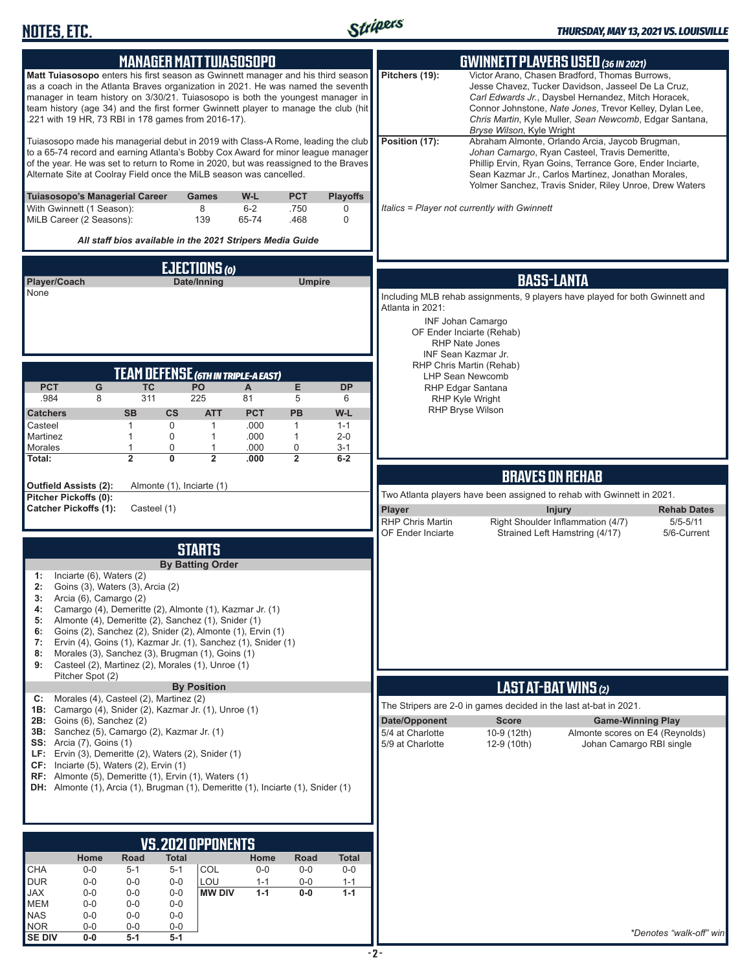

|                                                       |                                                                                                                                                                                                                                                                                                                                                                                                    | <b>MANAGER MATTTUIASOSOPO</b>       |                                          |                         |                            |                           |                                   |                                                                              | <b>GWINNETT PLAYERS USED (36 IN 2021)</b>                                                                                                                                                                                                                                         |                    |
|-------------------------------------------------------|----------------------------------------------------------------------------------------------------------------------------------------------------------------------------------------------------------------------------------------------------------------------------------------------------------------------------------------------------------------------------------------------------|-------------------------------------|------------------------------------------|-------------------------|----------------------------|---------------------------|-----------------------------------|------------------------------------------------------------------------------|-----------------------------------------------------------------------------------------------------------------------------------------------------------------------------------------------------------------------------------------------------------------------------------|--------------------|
|                                                       | Matt Tuiasosopo enters his first season as Gwinnett manager and his third season<br>as a coach in the Atlanta Braves organization in 2021. He was named the seventh<br>manager in team history on 3/30/21. Tuiasosopo is both the youngest manager in<br>team history (age 34) and the first former Gwinnett player to manage the club (hit<br>.221 with 19 HR, 73 RBI in 178 games from 2016-17). |                                     |                                          |                         |                            |                           | Pitchers (19):                    | Bryse Wilson, Kyle Wright                                                    | Victor Arano, Chasen Bradford, Thomas Burrows,<br>Jesse Chavez, Tucker Davidson, Jasseel De La Cruz,<br>Carl Edwards Jr., Daysbel Hernandez, Mitch Horacek,<br>Connor Johnstone, Nate Jones, Trevor Kelley, Dylan Lee,<br>Chris Martin, Kyle Muller, Sean Newcomb, Edgar Santana, |                    |
|                                                       | Tuiasosopo made his managerial debut in 2019 with Class-A Rome, leading the club<br>to a 65-74 record and earning Atlanta's Bobby Cox Award for minor league manager<br>of the year. He was set to return to Rome in 2020, but was reassigned to the Braves<br>Alternate Site at Coolray Field once the MiLB season was cancelled.                                                                 |                                     |                                          |                         |                            |                           | Position (17):                    |                                                                              | Abraham Almonte, Orlando Arcia, Jaycob Brugman,<br>Johan Camargo, Ryan Casteel, Travis Demeritte,<br>Phillip Ervin, Ryan Goins, Terrance Gore, Ender Inciarte,<br>Sean Kazmar Jr., Carlos Martinez, Jonathan Morales,<br>Yolmer Sanchez, Travis Snider, Riley Unroe, Drew Waters  |                    |
| With Gwinnett (1 Season):<br>MiLB Career (2 Seasons): | Tuiasosopo's Managerial Career                                                                                                                                                                                                                                                                                                                                                                     |                                     | Games<br>8<br>139                        | W-L<br>$6 - 2$<br>65-74 | <b>PCT</b><br>.750<br>.468 | <b>Playoffs</b><br>0<br>0 |                                   | Italics = Player not currently with Gwinnett                                 |                                                                                                                                                                                                                                                                                   |                    |
|                                                       | All staff bios available in the 2021 Stripers Media Guide                                                                                                                                                                                                                                                                                                                                          |                                     |                                          |                         |                            |                           |                                   |                                                                              |                                                                                                                                                                                                                                                                                   |                    |
|                                                       |                                                                                                                                                                                                                                                                                                                                                                                                    |                                     | EJECTIONS (0)                            |                         |                            |                           |                                   |                                                                              |                                                                                                                                                                                                                                                                                   |                    |
| Player/Coach<br>None                                  |                                                                                                                                                                                                                                                                                                                                                                                                    |                                     | Date/Inning                              |                         | <b>Umpire</b>              |                           |                                   |                                                                              | <b>BASS-LANTA</b>                                                                                                                                                                                                                                                                 |                    |
|                                                       |                                                                                                                                                                                                                                                                                                                                                                                                    |                                     |                                          |                         |                            |                           | Atlanta in 2021:                  | Including MLB rehab assignments, 9 players have played for both Gwinnett and |                                                                                                                                                                                                                                                                                   |                    |
|                                                       |                                                                                                                                                                                                                                                                                                                                                                                                    |                                     |                                          |                         |                            |                           |                                   | <b>INF Johan Camargo</b><br>OF Ender Inciarte (Rehab)                        |                                                                                                                                                                                                                                                                                   |                    |
|                                                       |                                                                                                                                                                                                                                                                                                                                                                                                    |                                     |                                          |                         |                            |                           |                                   | <b>RHP Nate Jones</b><br>INF Sean Kazmar Jr.                                 |                                                                                                                                                                                                                                                                                   |                    |
|                                                       |                                                                                                                                                                                                                                                                                                                                                                                                    | TEAM DEFENSE (GTH IN TRIPLE-A EAST) |                                          |                         |                            |                           |                                   | RHP Chris Martin (Rehab)                                                     |                                                                                                                                                                                                                                                                                   |                    |
| <b>PCT</b>                                            | G                                                                                                                                                                                                                                                                                                                                                                                                  | <b>TC</b>                           | PO                                       | A                       | E                          | <b>DP</b>                 |                                   | <b>LHP Sean Newcomb</b><br>RHP Edgar Santana                                 |                                                                                                                                                                                                                                                                                   |                    |
| .984<br><b>Catchers</b>                               | 8<br><b>SB</b>                                                                                                                                                                                                                                                                                                                                                                                     | 311<br>$\mathsf{cs}$                | 225<br><b>ATT</b>                        | 81<br><b>PCT</b>        | 5<br><b>PB</b>             | 6<br>W-L                  |                                   | RHP Kyle Wright<br><b>RHP Bryse Wilson</b>                                   |                                                                                                                                                                                                                                                                                   |                    |
| Casteel                                               | $\mathbf{1}$                                                                                                                                                                                                                                                                                                                                                                                       | 0                                   | $\mathbf{1}$                             | .000                    | $\mathbf{1}$               | $1 - 1$                   |                                   |                                                                              |                                                                                                                                                                                                                                                                                   |                    |
| Martinez<br>Morales                                   | $\mathbf{1}$<br>$\mathbf{1}$                                                                                                                                                                                                                                                                                                                                                                       | 0<br>0                              | $\mathbf{1}$<br>1                        | .000<br>.000            | $\mathbf{1}$<br>0          | $2 - 0$<br>$3 - 1$        |                                   |                                                                              |                                                                                                                                                                                                                                                                                   |                    |
| Total:                                                | $\overline{2}$                                                                                                                                                                                                                                                                                                                                                                                     | $\overline{0}$                      | $\overline{2}$                           | .000                    | $\overline{2}$             | $6-2$                     |                                   |                                                                              |                                                                                                                                                                                                                                                                                   |                    |
| Outfield Assists (2):                                 |                                                                                                                                                                                                                                                                                                                                                                                                    | Almonte (1), Inciarte (1)           |                                          |                         |                            |                           |                                   |                                                                              | <b>BRAVES ON REHAB</b>                                                                                                                                                                                                                                                            |                    |
| Pitcher Pickoffs (0):<br><b>Catcher Pickoffs (1):</b> |                                                                                                                                                                                                                                                                                                                                                                                                    | Casteel (1)                         |                                          |                         |                            |                           | Player                            | Two Atlanta players have been assigned to rehab with Gwinnett in 2021.       | Injury                                                                                                                                                                                                                                                                            | <b>Rehab Dates</b> |
|                                                       |                                                                                                                                                                                                                                                                                                                                                                                                    |                                     |                                          |                         |                            |                           |                                   |                                                                              |                                                                                                                                                                                                                                                                                   |                    |
|                                                       |                                                                                                                                                                                                                                                                                                                                                                                                    |                                     |                                          |                         |                            |                           | <b>RHP Chris Martin</b>           |                                                                              | Right Shoulder Inflammation (4/7)                                                                                                                                                                                                                                                 | $5/5 - 5/11$       |
|                                                       |                                                                                                                                                                                                                                                                                                                                                                                                    |                                     |                                          |                         |                            |                           | OF Ender Inciarte                 |                                                                              | Strained Left Hamstring (4/17)                                                                                                                                                                                                                                                    | 5/6-Current        |
|                                                       |                                                                                                                                                                                                                                                                                                                                                                                                    |                                     | <b>STARTS</b><br><b>By Batting Order</b> |                         |                            |                           |                                   |                                                                              |                                                                                                                                                                                                                                                                                   |                    |
| 1:                                                    | Inciarte (6), Waters (2)                                                                                                                                                                                                                                                                                                                                                                           |                                     |                                          |                         |                            |                           |                                   |                                                                              |                                                                                                                                                                                                                                                                                   |                    |
| 2:<br>3:                                              | Goins (3), Waters (3), Arcia (2)<br>Arcia (6), Camargo (2)                                                                                                                                                                                                                                                                                                                                         |                                     |                                          |                         |                            |                           |                                   |                                                                              |                                                                                                                                                                                                                                                                                   |                    |
| 4:<br>5:                                              | Camargo (4), Demeritte (2), Almonte (1), Kazmar Jr. (1)<br>Almonte (4), Demeritte (2), Sanchez (1), Snider (1)                                                                                                                                                                                                                                                                                     |                                     |                                          |                         |                            |                           |                                   |                                                                              |                                                                                                                                                                                                                                                                                   |                    |
| 6:                                                    | Goins (2), Sanchez (2), Snider (2), Almonte (1), Ervin (1)                                                                                                                                                                                                                                                                                                                                         |                                     |                                          |                         |                            |                           |                                   |                                                                              |                                                                                                                                                                                                                                                                                   |                    |
| 7:<br>8:                                              | Ervin (4), Goins (1), Kazmar Jr. (1), Sanchez (1), Snider (1)<br>Morales (3), Sanchez (3), Brugman (1), Goins (1)                                                                                                                                                                                                                                                                                  |                                     |                                          |                         |                            |                           |                                   |                                                                              |                                                                                                                                                                                                                                                                                   |                    |
| 9:                                                    | Casteel (2), Martinez (2), Morales (1), Unroe (1)<br>Pitcher Spot (2)                                                                                                                                                                                                                                                                                                                              |                                     |                                          |                         |                            |                           |                                   |                                                                              |                                                                                                                                                                                                                                                                                   |                    |
|                                                       |                                                                                                                                                                                                                                                                                                                                                                                                    |                                     | <b>By Position</b>                       |                         |                            |                           |                                   |                                                                              | <b>LAST AT-BAT WINS (2)</b>                                                                                                                                                                                                                                                       |                    |
| C:                                                    | Morales (4), Casteel (2), Martinez (2)<br>1B: Camargo (4), Snider (2), Kazmar Jr. (1), Unroe (1)                                                                                                                                                                                                                                                                                                   |                                     |                                          |                         |                            |                           |                                   | The Stripers are 2-0 in games decided in the last at-bat in 2021.            |                                                                                                                                                                                                                                                                                   |                    |
|                                                       | 2B: Goins (6), Sanchez (2)<br>3B: Sanchez (5), Camargo (2), Kazmar Jr. (1)                                                                                                                                                                                                                                                                                                                         |                                     |                                          |                         |                            |                           | Date/Opponent<br>5/4 at Charlotte | <b>Score</b><br>10-9 (12th)                                                  | <b>Game-Winning Play</b><br>Almonte scores on E4 (Reynolds)                                                                                                                                                                                                                       |                    |
| <b>SS:</b> Arcia (7), Goins (1)                       | LF: Ervin (3), Demeritte (2), Waters (2), Snider (1)                                                                                                                                                                                                                                                                                                                                               |                                     |                                          |                         |                            |                           | 5/9 at Charlotte                  | 12-9 (10th)                                                                  | Johan Camargo RBI single                                                                                                                                                                                                                                                          |                    |
|                                                       | CF: Inciarte (5), Waters (2), Ervin (1)                                                                                                                                                                                                                                                                                                                                                            |                                     |                                          |                         |                            |                           |                                   |                                                                              |                                                                                                                                                                                                                                                                                   |                    |
|                                                       | RF: Almonte (5), Demeritte (1), Ervin (1), Waters (1)<br>DH: Almonte (1), Arcia (1), Brugman (1), Demeritte (1), Inciarte (1), Snider (1)                                                                                                                                                                                                                                                          |                                     |                                          |                         |                            |                           |                                   |                                                                              |                                                                                                                                                                                                                                                                                   |                    |
|                                                       |                                                                                                                                                                                                                                                                                                                                                                                                    |                                     |                                          |                         |                            |                           |                                   |                                                                              |                                                                                                                                                                                                                                                                                   |                    |
|                                                       |                                                                                                                                                                                                                                                                                                                                                                                                    |                                     |                                          |                         |                            |                           |                                   |                                                                              |                                                                                                                                                                                                                                                                                   |                    |
|                                                       |                                                                                                                                                                                                                                                                                                                                                                                                    | VS.2021OPPONENTS                    |                                          |                         |                            |                           |                                   |                                                                              |                                                                                                                                                                                                                                                                                   |                    |
|                                                       | Home<br>Road                                                                                                                                                                                                                                                                                                                                                                                       | <b>Total</b>                        |                                          | Home                    | Road                       | <b>Total</b>              |                                   |                                                                              |                                                                                                                                                                                                                                                                                   |                    |
| <b>CHA</b><br><b>DUR</b>                              | $0-0$<br>$5 - 1$<br>$0-0$<br>$0-0$                                                                                                                                                                                                                                                                                                                                                                 | $5 - 1$<br>$0-0$                    | <b>COL</b><br>LOU                        | $0-0$<br>$1 - 1$        | $0-0$<br>$0-0$             | $0-0$<br>$1 - 1$          |                                   |                                                                              |                                                                                                                                                                                                                                                                                   |                    |
| JAX<br><b>MEM</b>                                     | $0-0$<br>$0-0$<br>$0 - 0$<br>$0-0$                                                                                                                                                                                                                                                                                                                                                                 | $0-0$<br>$0-0$                      | <b>MW DIV</b>                            | $1 - 1$                 | $0-0$                      | $1 - 1$                   |                                   |                                                                              |                                                                                                                                                                                                                                                                                   |                    |
| <b>NAS</b><br><b>NOR</b>                              | $0-0$<br>$0-0$<br>$0-0$<br>$0-0$                                                                                                                                                                                                                                                                                                                                                                   | $0-0$<br>$0-0$                      |                                          |                         |                            |                           |                                   |                                                                              |                                                                                                                                                                                                                                                                                   |                    |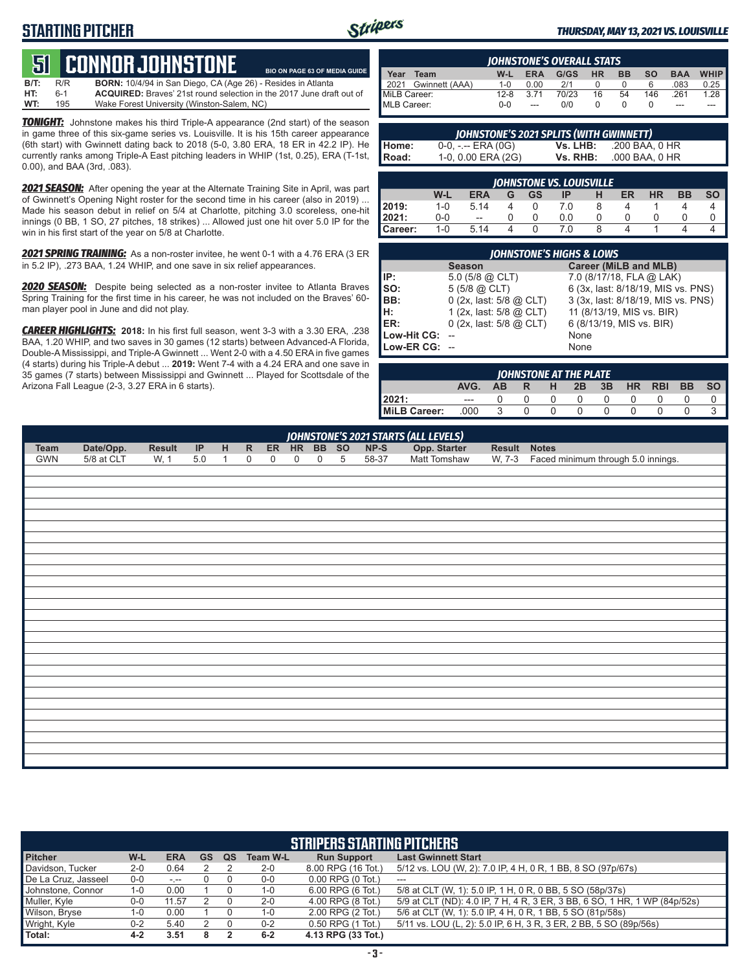## **STARTING PITCHER**



**BIO ON PAGE 63 OF MEDIA GUIDE**

#### *THURSDAY, MAY 13, 2021 VS. LOUISVILLE*

# **51****CONNOR JOHNSTONE**

**B/T:** R/R **BORN:** 10/4/94 in San Diego, CA (Age 26) - Resides in Atlanta 6-1 **ACQUIRED:** Braves' 21st round selection in the 2017 June draft out of 195 Wake Forest University (Winston-Salem, NC) **WT:** 195 Wake Forest University (Winston-Salem, NC)

*TONIGHT:* Johnstone makes his third Triple-A appearance (2nd start) of the season in game three of this six-game series vs. Louisville. It is his 15th career appearance (6th start) with Gwinnett dating back to 2018 (5-0, 3.80 ERA, 18 ER in 42.2 IP). He currently ranks among Triple-A East pitching leaders in WHIP (1st, 0.25), ERA (T-1st, 0.00), and BAA (3rd, .083).

2021 **SEASON:** After opening the year at the Alternate Training Site in April, was part of Gwinnett's Opening Night roster for the second time in his career (also in 2019) ... Made his season debut in relief on 5/4 at Charlotte, pitching 3.0 scoreless, one-hit innings (0 BB, 1 SO, 27 pitches, 18 strikes) ... Allowed just one hit over 5.0 IP for the win in his first start of the year on 5/8 at Charlotte.

*2021 SPRING TRAINING:* As a non-roster invitee, he went 0-1 with a 4.76 ERA (3 ER in 5.2 IP), .273 BAA, 1.24 WHIP, and one save in six relief appearances.

*2020 SEASON:* Despite being selected as a non-roster invitee to Atlanta Braves Spring Training for the first time in his career, he was not included on the Braves' 60 man player pool in June and did not play.

*CAREER HIGHLIGHTS:* **2018:** In his first full season, went 3-3 with a 3.30 ERA, .238 BAA, 1.20 WHIP, and two saves in 30 games (12 starts) between Advanced-A Florida, Double-A Mississippi, and Triple-A Gwinnett ... Went 2-0 with a 4.50 ERA in five games (4 starts) during his Triple-A debut ... **2019:** Went 7-4 with a 4.24 ERA and one save in 35 games (7 starts) between Mississippi and Gwinnett ... Played for Scottsdale of the Arizona Fall League (2-3, 3.27 ERA in 6 starts).

|              |                |          |            | <b>IOHNSTONE'S OVERALL STATS</b> |           |           |           |            |             |
|--------------|----------------|----------|------------|----------------------------------|-----------|-----------|-----------|------------|-------------|
| Year         | Team           | W-L      | <b>ERA</b> | G/GS                             | <b>HR</b> | <b>BB</b> | <b>SO</b> | <b>BAA</b> | <b>WHIP</b> |
| 2021         | Gwinnett (AAA) | $1 - 0$  | 0.00       | 2/1                              |           |           |           | 083.       | 0.25        |
| MiLB Career: |                | $12 - 8$ | 3.71       | 70/23                            | 16        | 54        | 146       | .261       | 1.28        |
| MLB Career:  |                | ი-ი      |            | 0/0                              |           |           |           | ---        |             |

|       | JOHNSTONE'S 2021 SPLITS (WITH GWINNETT) |          |                |
|-------|-----------------------------------------|----------|----------------|
| Home: | $0-0, - -$ ERA $(0G)$                   | Vs. LHB: | .200 BAA. 0 HR |
| Road: | 1-0, 0.00 ERA (2G)                      | Vs. RHB: | .000 BAA. 0 HR |

|                | JOHNSTONE VS. LOUISVILLE |                          |   |    |     |   |    |           |    |           |  |  |  |  |
|----------------|--------------------------|--------------------------|---|----|-----|---|----|-----------|----|-----------|--|--|--|--|
|                | W-L                      | <b>ERA</b>               | G | GS | ΙP  | н | ER | <b>HR</b> | BB | <b>SO</b> |  |  |  |  |
| 2019:          | $1 - 0$                  | 5.14                     |   |    | 7.0 |   |    |           |    |           |  |  |  |  |
| 2021:          | 0-0                      | $\overline{\phantom{a}}$ |   |    | 0.0 |   |    |           |    |           |  |  |  |  |
| <b>Career:</b> | $1 - 0$                  | 5.14                     |   |    | 0.  |   |    |           |    |           |  |  |  |  |

|               | <b>JOHNSTONE'S HIGHS &amp; LOWS</b> |                                    |
|---------------|-------------------------------------|------------------------------------|
|               | <b>Season</b>                       | <b>Career (MiLB and MLB)</b>       |
| IIP:          | $5.0$ (5/8 @ CLT)                   | 7.0 (8/17/18, FLA @ LAK)           |
| SO:           | $5(5/8)$ $(2)$ CLT)                 | 6 (3x, last: 8/18/19, MIS vs. PNS) |
| BB:           | 0 (2x, last: 5/8 @ CLT)             | 3 (3x, last: 8/18/19, MIS vs. PNS) |
| IH:           | 1 (2x, last: 5/8 @ CLT)             | 11 (8/13/19, MIS vs. BIR)          |
| <b>IER:</b>   | $0$ (2x, last: 5/8 @ CLT)           | 6 (8/13/19, MIS vs. BIR)           |
| Low-Hit CG:   |                                     | None                               |
| Low-ER CG: -- |                                     | None                               |

|              | <b>IOHNSTONE AT THE PLATE</b> |     |     |              |              |    |           |            |           |           |  |  |  |
|--------------|-------------------------------|-----|-----|--------------|--------------|----|-----------|------------|-----------|-----------|--|--|--|
|              | AVG.                          | AB. | -R. | н            | 2B           | 3B | <b>HR</b> | <b>RBI</b> | <b>BB</b> | <b>SO</b> |  |  |  |
| 12021:       | $---$                         |     |     | $\mathbf{I}$ | 0            |    |           |            |           |           |  |  |  |
| MiLB Career: | .000                          | ર   |     |              | $\mathbf{0}$ |    |           |            |           |           |  |  |  |

|            | <b>JOHNSTONE'S 2021 STARTS (ALL LEVELS)</b> |        |         |              |              |             |             |                  |   |        |              |              |                                    |
|------------|---------------------------------------------|--------|---------|--------------|--------------|-------------|-------------|------------------|---|--------|--------------|--------------|------------------------------------|
| Team       | Date/Opp.                                   | Result | IP      | H            | $\mathsf{R}$ |             | ER HR BB SO |                  |   | $NP-S$ | Opp. Starter | Result Notes |                                    |
| <b>GWN</b> | 5/8 at CLT                                  | W, 1   | $5.0\,$ | $\mathbf{1}$ | 0            | $\mathbf 0$ | $\mathsf 0$ | $\boldsymbol{0}$ | 5 | 58-37  | Matt Tomshaw | W, 7-3       | Faced minimum through 5.0 innings. |
|            |                                             |        |         |              |              |             |             |                  |   |        |              |              |                                    |
|            |                                             |        |         |              |              |             |             |                  |   |        |              |              |                                    |
|            |                                             |        |         |              |              |             |             |                  |   |        |              |              |                                    |
|            |                                             |        |         |              |              |             |             |                  |   |        |              |              |                                    |
|            |                                             |        |         |              |              |             |             |                  |   |        |              |              |                                    |
|            |                                             |        |         |              |              |             |             |                  |   |        |              |              |                                    |
|            |                                             |        |         |              |              |             |             |                  |   |        |              |              |                                    |
|            |                                             |        |         |              |              |             |             |                  |   |        |              |              |                                    |
|            |                                             |        |         |              |              |             |             |                  |   |        |              |              |                                    |
|            |                                             |        |         |              |              |             |             |                  |   |        |              |              |                                    |
|            |                                             |        |         |              |              |             |             |                  |   |        |              |              |                                    |
|            |                                             |        |         |              |              |             |             |                  |   |        |              |              |                                    |
|            |                                             |        |         |              |              |             |             |                  |   |        |              |              |                                    |
|            |                                             |        |         |              |              |             |             |                  |   |        |              |              |                                    |
|            |                                             |        |         |              |              |             |             |                  |   |        |              |              |                                    |
|            |                                             |        |         |              |              |             |             |                  |   |        |              |              |                                    |
|            |                                             |        |         |              |              |             |             |                  |   |        |              |              |                                    |
|            |                                             |        |         |              |              |             |             |                  |   |        |              |              |                                    |
|            |                                             |        |         |              |              |             |             |                  |   |        |              |              |                                    |
|            |                                             |        |         |              |              |             |             |                  |   |        |              |              |                                    |
|            |                                             |        |         |              |              |             |             |                  |   |        |              |              |                                    |
|            |                                             |        |         |              |              |             |             |                  |   |        |              |              |                                    |
|            |                                             |        |         |              |              |             |             |                  |   |        |              |              |                                    |
|            |                                             |        |         |              |              |             |             |                  |   |        |              |              |                                    |
|            |                                             |        |         |              |              |             |             |                  |   |        |              |              |                                    |
|            |                                             |        |         |              |              |             |             |                  |   |        |              |              |                                    |
|            |                                             |        |         |              |              |             |             |                  |   |        |              |              |                                    |

|                     |         |                                                                                                                                                                                                                                                                                                                                                                                                                                                |           |    |                 | <b>STRIPERS STARTING PITCHERS</b> |                                                                           |
|---------------------|---------|------------------------------------------------------------------------------------------------------------------------------------------------------------------------------------------------------------------------------------------------------------------------------------------------------------------------------------------------------------------------------------------------------------------------------------------------|-----------|----|-----------------|-----------------------------------|---------------------------------------------------------------------------|
| <b>Pitcher</b>      | W-L     | <b>ERA</b>                                                                                                                                                                                                                                                                                                                                                                                                                                     | <b>GS</b> | QS | <b>Team W-L</b> | <b>Run Support</b>                | <b>Last Gwinnett Start</b>                                                |
| Davidson, Tucker    | $2 - 0$ | 0.64                                                                                                                                                                                                                                                                                                                                                                                                                                           |           |    | $2 - 0$         | 8.00 RPG (16 Tot.)                | 5/12 vs. LOU (W, 2): 7.0 IP, 4 H, 0 R, 1 BB, 8 SO (97p/67s)               |
| De La Cruz, Jasseel | 0-0     | $\frac{1}{2} \left( \frac{1}{2} \right) + \frac{1}{2} \left( \frac{1}{2} \right) + \frac{1}{2} \left( \frac{1}{2} \right) + \frac{1}{2} \left( \frac{1}{2} \right) + \frac{1}{2} \left( \frac{1}{2} \right) + \frac{1}{2} \left( \frac{1}{2} \right) + \frac{1}{2} \left( \frac{1}{2} \right) + \frac{1}{2} \left( \frac{1}{2} \right) + \frac{1}{2} \left( \frac{1}{2} \right) + \frac{1}{2} \left( \frac{1}{2} \right) + \frac{1}{2} \left($ |           |    | 0-0             | $0.00$ RPG $(0)$ Tot.)            | $\frac{1}{2}$                                                             |
| Johnstone, Connor   | $1 - 0$ | 0.00                                                                                                                                                                                                                                                                                                                                                                                                                                           |           |    | 1-0             | 6.00 RPG (6 Tot.)                 | 5/8 at CLT (W, 1): 5.0 IP, 1 H, 0 R, 0 BB, 5 SO (58p/37s)                 |
| Muller, Kyle        | $0-0$   | 11.57                                                                                                                                                                                                                                                                                                                                                                                                                                          |           |    | $2 - 0$         | 4.00 RPG (8 Tot.)                 | 5/9 at CLT (ND): 4.0 IP, 7 H, 4 R, 3 ER, 3 BB, 6 SO, 1 HR, 1 WP (84p/52s) |
| Wilson, Bryse       | $1 - 0$ | 0.00                                                                                                                                                                                                                                                                                                                                                                                                                                           |           |    | 1-0             | 2.00 RPG (2 Tot.)                 | 5/6 at CLT (W, 1): 5.0 IP, 4 H, 0 R, 1 BB, 5 SO (81p/58s)                 |
| Wright, Kyle        | $0 - 2$ | 5.40                                                                                                                                                                                                                                                                                                                                                                                                                                           |           |    | $0 - 2$         | $0.50$ RPG $(1$ Tot.)             | 5/11 vs. LOU (L, 2): 5.0 IP, 6 H, 3 R, 3 ER, 2 BB, 5 SO (89p/56s)         |
| Total:              | 4-2     | 3.51                                                                                                                                                                                                                                                                                                                                                                                                                                           |           |    | $6-2$           | 4.13 RPG (33 Tot.)                |                                                                           |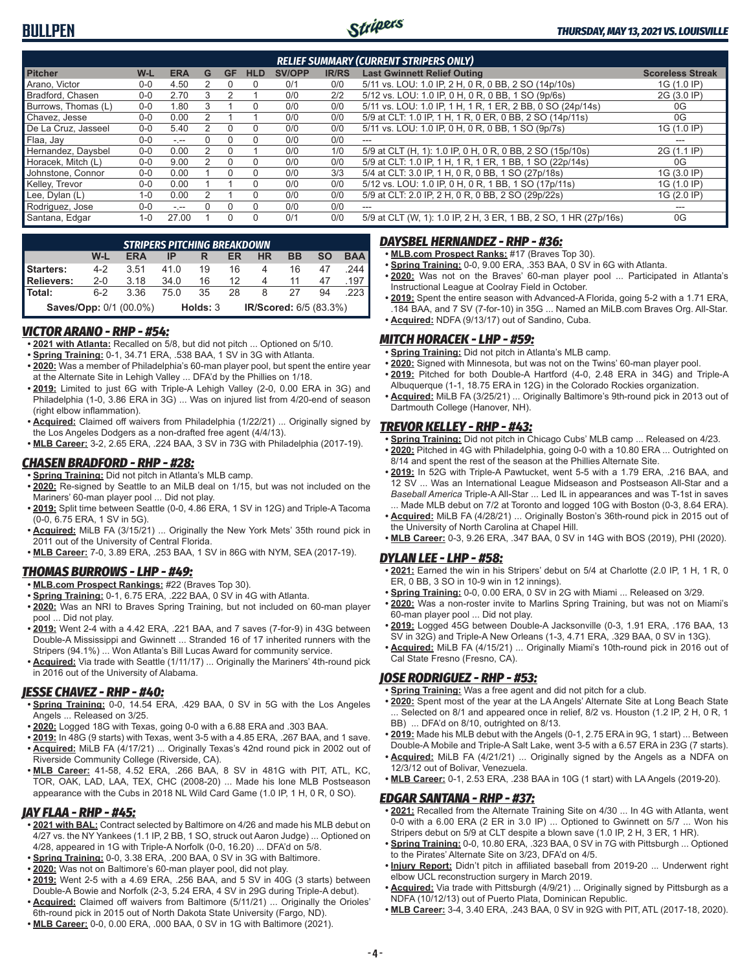

|                     |              |            |   |          |            |               |              | <b>RELIEF SUMMARY (CURRENT STRIPERS ONLY)</b>                    |                         |
|---------------------|--------------|------------|---|----------|------------|---------------|--------------|------------------------------------------------------------------|-------------------------|
| <b>Pitcher</b>      | W-L          | <b>ERA</b> | G | GF       | <b>HLD</b> | <b>SV/OPP</b> | <b>IR/RS</b> | <b>Last Gwinnett Relief Outing</b>                               | <b>Scoreless Streak</b> |
| Arano, Victor       | $0 - 0$      | 4.50       |   |          | 0          | 0/1           | 0/0          | 5/11 vs. LOU: 1.0 IP, 2 H, 0 R, 0 BB, 2 SO (14p/10s)             | 1G (1.0 IP)             |
| Bradford, Chasen    | $0 - 0$      | 2.70       | વ |          |            | 0/0           | 2/2          | 5/12 vs. LOU: 1.0 IP, 0 H, 0 R, 0 BB, 1 SO (9p/6s)               | 2G (3.0 IP)             |
| Burrows, Thomas (L) | $0 - 0$      | 1.80       |   |          |            | 0/0           | 0/0          | 5/11 vs. LOU: 1.0 IP, 1 H, 1 R, 1 ER, 2 BB, 0 SO (24p/14s)       | 0G                      |
| Chavez, Jesse       | $0 - 0$      | 0.00       |   |          |            | 0/0           | 0/0          | 5/9 at CLT: 1.0 IP, 1 H, 1 R, 0 ER, 0 BB, 2 SO (14p/11s)         | 0G                      |
| De La Cruz, Jasseel | $0 - 0$      | 5.40       |   | $\Omega$ |            | 0/0           | 0/0          | 5/11 vs. LOU: 1.0 IP, 0 H, 0 R, 0 BB, 1 SO (9p/7s)               | 1G (1.0 IP)             |
| Flaa, Jay           | $0 - 0$      | $- - -$    |   |          | $\Omega$   | 0/0           | 0/0          |                                                                  |                         |
| Hernandez, Daysbel  | $0 - 0$      | 0.00       |   |          |            | 0/0           | 1/0          | 5/9 at CLT (H, 1): 1.0 IP, 0 H, 0 R, 0 BB, 2 SO (15p/10s)        | 2G (1.1 IP)             |
| Horacek. Mitch (L)  | $0 - 0$      | 9.00       |   | $\Omega$ |            | 0/0           | 0/0          | 5/9 at CLT: 1.0 IP, 1 H, 1 R, 1 ER, 1 BB, 1 SO (22p/14s)         | 0G                      |
| Johnstone, Connor   | $0 - 0$      | 0.00       |   |          |            | 0/0           | 3/3          | 5/4 at CLT: 3.0 IP, 1 H, 0 R, 0 BB, 1 SO (27p/18s)               | 1G (3.0 IP)             |
| Kelley, Trevor      | $0 - 0$      | 0.00       |   |          | $\Omega$   | 0/0           | 0/0          | 5/12 vs. LOU: 1.0 IP, 0 H, 0 R, 1 BB, 1 SO (17p/11s)             | 1G (1.0 IP)             |
| Lee, Dylan (L)      | $1 - \Omega$ | 0.00       |   |          |            | 0/0           | 0/0          | 5/9 at CLT: 2.0 IP, 2 H, 0 R, 0 BB, 2 SO (29p/22s)               | 1G (2.0 IP)             |
| Rodriguez, Jose     | $0 - 0$      | - --       |   |          | $\Omega$   | 0/0           | 0/0          | $---$                                                            |                         |
| Santana, Edgar      | $1 - 0$      | 27.00      |   |          | $\Omega$   | 0/1           | 0/0          | 5/9 at CLT (W, 1): 1.0 IP, 2 H, 3 ER, 1 BB, 2 SO, 1 HR (27p/16s) | 0G                      |

|            |         | <b>STRIPERS PITCHING BREAKDOWN</b> |      |          |    |                        |    |           |            |
|------------|---------|------------------------------------|------|----------|----|------------------------|----|-----------|------------|
|            | W-L     | <b>ERA</b>                         | IP   | R        | ER | <b>HR</b>              | ВB | <b>SO</b> | <b>BAA</b> |
| Starters:  | $4 - 2$ | 3.51                               | 41.0 | 19       | 16 |                        | 16 | 47        | .244       |
| Relievers: | $2 - 0$ | 3.18                               | 34.0 | 16       | 12 | 4                      | 11 | 47        | .197       |
| l Total:   | $6-2$   | 3.36                               | 75.0 | 35       | 28 | 8                      | 27 | 94        | .223       |
|            |         | <b>Saves/Opp: 0/1 (00.0%)</b>      |      | Holds: 3 |    | IR/Scored: 6/5 (83.3%) |    |           |            |

#### *VICTOR ARANO - RHP - #54:*

- **• 2021 with Atlanta:** Recalled on 5/8, but did not pitch ... Optioned on 5/10.
- **• Spring Training:** 0-1, 34.71 ERA, .538 BAA, 1 SV in 3G with Atlanta.
- **• 2020:** Was a member of Philadelphia's 60-man player pool, but spent the entire year at the Alternate Site in Lehigh Valley ... DFA'd by the Phillies on 1/18.
- **• 2019:** Limited to just 6G with Triple-A Lehigh Valley (2-0, 0.00 ERA in 3G) and Philadelphia (1-0, 3.86 ERA in 3G) ... Was on injured list from 4/20-end of season (right elbow inflammation).
- **• Acquired:** Claimed off waivers from Philadelphia (1/22/21) ... Originally signed by the Los Angeles Dodgers as a non-drafted free agent (4/4/13).
- **• MLB Career:** 3-2, 2.65 ERA, .224 BAA, 3 SV in 73G with Philadelphia (2017-19).

#### *CHASEN BRADFORD - RHP - #28:*

- **• Spring Training:** Did not pitch in Atlanta's MLB camp.
- **• 2020:** Re-signed by Seattle to an MiLB deal on 1/15, but was not included on the Mariners' 60-man player pool ... Did not play.
- **• 2019:** Split time between Seattle (0-0, 4.86 ERA, 1 SV in 12G) and Triple-A Tacoma (0-0, 6.75 ERA, 1 SV in 5G).
- **• Acquired:** MiLB FA (3/15/21) ... Originally the New York Mets' 35th round pick in 2011 out of the University of Central Florida.
- **• MLB Career:** 7-0, 3.89 ERA, .253 BAA, 1 SV in 86G with NYM, SEA (2017-19).

#### *THOMAS BURROWS - LHP - #49:*

- **• MLB.com Prospect Rankings:** #22 (Braves Top 30).
- **• Spring Training:** 0-1, 6.75 ERA, .222 BAA, 0 SV in 4G with Atlanta.
- **• 2020:** Was an NRI to Braves Spring Training, but not included on 60-man player pool ... Did not play.
- **• 2019:** Went 2-4 with a 4.42 ERA, .221 BAA, and 7 saves (7-for-9) in 43G between Double-A Mississippi and Gwinnett ... Stranded 16 of 17 inherited runners with the Stripers (94.1%) ... Won Atlanta's Bill Lucas Award for community service.
- **• Acquired:** Via trade with Seattle (1/11/17) ... Originally the Mariners' 4th-round pick in 2016 out of the University of Alabama.

#### *JESSE CHAVEZ - RHP - #40:*

- **• Spring Training:** 0-0, 14.54 ERA, .429 BAA, 0 SV in 5G with the Los Angeles Angels ... Released on 3/25.
- **• 2020:** Logged 18G with Texas, going 0-0 with a 6.88 ERA and .303 BAA.
- **• 2019:** In 48G (9 starts) with Texas, went 3-5 with a 4.85 ERA, .267 BAA, and 1 save. **• Acquired:** MiLB FA (4/17/21) ... Originally Texas's 42nd round pick in 2002 out of
- Riverside Community College (Riverside, CA). **• MLB Career:** 41-58, 4.52 ERA, .266 BAA, 8 SV in 481G with PIT, ATL, KC, TOR, OAK, LAD, LAA, TEX, CHC (2008-20) ... Made his lone MLB Postseason
- appearance with the Cubs in 2018 NL Wild Card Game (1.0 IP, 1 H, 0 R, 0 SO).

#### *JAY FLAA - RHP - #45:*

- **• 2021 with BAL:** Contract selected by Baltimore on 4/26 and made his MLB debut on 4/27 vs. the NY Yankees (1.1 IP, 2 BB, 1 SO, struck out Aaron Judge) ... Optioned on 4/28, appeared in 1G with Triple-A Norfolk (0-0, 16.20) ... DFA'd on 5/8.
- **• Spring Training:** 0-0, 3.38 ERA, .200 BAA, 0 SV in 3G with Baltimore.
- **• 2020:** Was not on Baltimore's 60-man player pool, did not play.
- **• 2019:** Went 2-5 with a 4.69 ERA, .256 BAA, and 5 SV in 40G (3 starts) between Double-A Bowie and Norfolk (2-3, 5.24 ERA, 4 SV in 29G during Triple-A debut).
- **• Acquired:** Claimed off waivers from Baltimore (5/11/21) ... Originally the Orioles' 6th-round pick in 2015 out of North Dakota State University (Fargo, ND).
- **• MLB Career:** 0-0, 0.00 ERA, .000 BAA, 0 SV in 1G with Baltimore (2021).

#### *DAYSBEL HERNANDEZ - RHP - #36:*

- **• MLB.com Prospect Ranks:** #17 (Braves Top 30).
- **• Spring Training:** 0-0, 9.00 ERA, .353 BAA, 0 SV in 6G with Atlanta.
- **• 2020:** Was not on the Braves' 60-man player pool ... Participated in Atlanta's Instructional League at Coolray Field in October.
- **• 2019:** Spent the entire season with Advanced-A Florida, going 5-2 with a 1.71 ERA, .184 BAA, and 7 SV (7-for-10) in 35G ... Named an MiLB.com Braves Org. All-Star. **• Acquired:** NDFA (9/13/17) out of Sandino, Cuba.

#### *MITCH HORACEK - LHP - #59:*

- **• Spring Training:** Did not pitch in Atlanta's MLB camp.
- **• 2020:** Signed with Minnesota, but was not on the Twins' 60-man player pool.
- **• 2019:** Pitched for both Double-A Hartford (4-0, 2.48 ERA in 34G) and Triple-A
- Albuquerque (1-1, 18.75 ERA in 12G) in the Colorado Rockies organization. **• Acquired:** MiLB FA (3/25/21) ... Originally Baltimore's 9th-round pick in 2013 out of Dartmouth College (Hanover, NH).

#### *TREVOR KELLEY - RHP - #43:*

- **• Spring Training:** Did not pitch in Chicago Cubs' MLB camp ... Released on 4/23.
- **• 2020:** Pitched in 4G with Philadelphia, going 0-0 with a 10.80 ERA ... Outrighted on 8/14 and spent the rest of the season at the Phillies Alternate Site.
- **• 2019:** In 52G with Triple-A Pawtucket, went 5-5 with a 1.79 ERA, .216 BAA, and 12 SV ... Was an International League Midseason and Postseason All-Star and a *Baseball America* Triple-A All-Star ... Led IL in appearances and was T-1st in saves ... Made MLB debut on 7/2 at Toronto and logged 10G with Boston (0-3, 8.64 ERA).
- **• Acquired:** MiLB FA (4/28/21) ... Originally Boston's 36th-round pick in 2015 out of the University of North Carolina at Chapel Hill.
- **• MLB Career:** 0-3, 9.26 ERA, .347 BAA, 0 SV in 14G with BOS (2019), PHI (2020).

#### *DYLAN LEE - LHP - #58:*

- **• 2021:** Earned the win in his Stripers' debut on 5/4 at Charlotte (2.0 IP, 1 H, 1 R, 0 ER, 0 BB, 3 SO in 10-9 win in 12 innings).
- **• Spring Training:** 0-0, 0.00 ERA, 0 SV in 2G with Miami ... Released on 3/29.
- **• 2020:** Was a non-roster invite to Marlins Spring Training, but was not on Miami's 60-man player pool ... Did not play.
- **• 2019:** Logged 45G between Double-A Jacksonville (0-3, 1.91 ERA, .176 BAA, 13 SV in 32G) and Triple-A New Orleans (1-3, 4.71 ERA, .329 BAA, 0 SV in 13G).
- **• Acquired:** MiLB FA (4/15/21) ... Originally Miami's 10th-round pick in 2016 out of Cal State Fresno (Fresno, CA).

#### *JOSE RODRIGUEZ - RHP - #53:*

- **• Spring Training:** Was a free agent and did not pitch for a club.
- **• 2020:** Spent most of the year at the LA Angels' Alternate Site at Long Beach State Selected on 8/1 and appeared once in relief, 8/2 vs. Houston (1.2 IP, 2 H, 0 R, 1 BB) ... DFA'd on 8/10, outrighted on 8/13.
- **• 2019:** Made his MLB debut with the Angels (0-1, 2.75 ERA in 9G, 1 start) ... Between Double-A Mobile and Triple-A Salt Lake, went 3-5 with a 6.57 ERA in 23G (7 starts).
- **• Acquired:** MiLB FA (4/21/21) ... Originally signed by the Angels as a NDFA on 12/3/12 out of Bolivar, Venezuela.
- **• MLB Career:** 0-1, 2.53 ERA, .238 BAA in 10G (1 start) with LA Angels (2019-20).

#### *EDGAR SANTANA - RHP - #37:*

- **• 2021:** Recalled from the Alternate Training Site on 4/30 ... In 4G with Atlanta, went 0-0 with a 6.00 ERA (2 ER in 3.0 IP) ... Optioned to Gwinnett on 5/7 ... Won his Stripers debut on 5/9 at CLT despite a blown save (1.0 IP, 2 H, 3 ER, 1 HR).
- **• Spring Training:** 0-0, 10.80 ERA, .323 BAA, 0 SV in 7G with Pittsburgh ... Optioned to the Pirates' Alternate Site on 3/23, DFA'd on 4/5.
- **• Injury Report:** Didn't pitch in affiliated baseball from 2019-20 ... Underwent right elbow UCL reconstruction surgery in March 2019.
- **• Acquired:** Via trade with Pittsburgh (4/9/21) ... Originally signed by Pittsburgh as a NDFA (10/12/13) out of Puerto Plata, Dominican Republic.
- **• MLB Career:** 3-4, 3.40 ERA, .243 BAA, 0 SV in 92G with PIT, ATL (2017-18, 2020).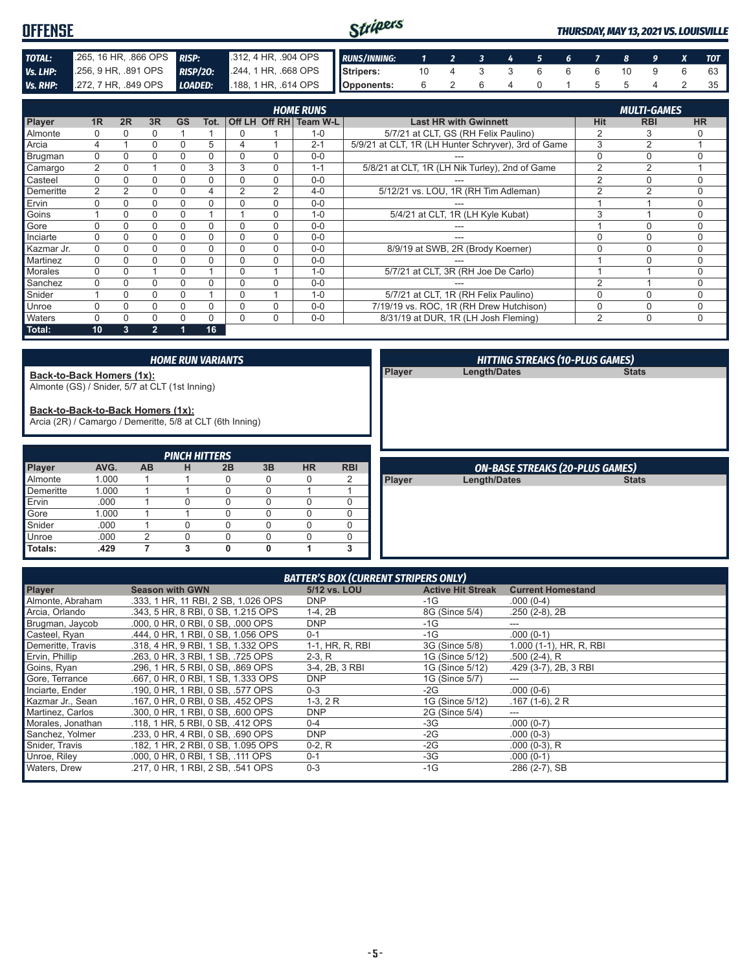#### Stripers **OFFENSE** *THURSDAY, MAY 13, 2021 VS. LOUISVILLE TOTAL:* .265, 16 HR, .866 OPS *RISP:* .312, 4 HR, .904 OPS *RUNS/INNING: 1 2 3 4 5 6 7 8 9 X TOT* **Vs. LHP:** .256, 9 HR, .891 OPS **RISP/20:** .244, 1 HR, .668 OPS<br>**Vs. RHP:** .272, 7 HR, .849 OPS **LOADED:** .188, 1 HR, .614 OPS **Stripers:** 10 4 3 3 6 6 6 10 9 6 63 *Vs. RHP:* .272, 7 HR, .849 OPS *LOADED:* **Opponents:** 6 2 6 4 0 1 5 5 4 2 35

|            |                |    |                |           |      |                |          | <b>HOME RUNS</b>       |                                                     |                | <b>MULTI-GAMES</b> |             |
|------------|----------------|----|----------------|-----------|------|----------------|----------|------------------------|-----------------------------------------------------|----------------|--------------------|-------------|
| Player     | 1R             | 2R | 3R             | <b>GS</b> | Tot. |                |          | Off LH Off RH Team W-L | <b>Last HR with Gwinnett</b>                        | <b>Hit</b>     | <b>RBI</b>         | <b>HR</b>   |
| Almonte    |                |    | 0              |           |      | 0              |          | $1 - 0$                | 5/7/21 at CLT, GS (RH Felix Paulino)                | 2              | 3                  |             |
| Arcia      | 4              |    | 0              |           | 5    | 4              |          | $2 - 1$                | 5/9/21 at CLT, 1R (LH Hunter Schryver), 3rd of Game | 3              | 2                  |             |
| Brugman    | $\Omega$       |    | 0              | 0         | 0    | 0              | $\Omega$ | $0 - 0$                |                                                     | 0              | $\Omega$           | $\Omega$    |
| Camargo    | $\overline{2}$ |    |                | $\Omega$  | 3    | 3              | $\Omega$ | $1 - 1$                | 5/8/21 at CLT, 1R (LH Nik Turley), 2nd of Game      | $\overline{2}$ | 2                  |             |
| Casteel    | $\Omega$       |    | 0              | 0         | 0    | $\Omega$       | $\Omega$ | $0 - 0$                |                                                     | $\overline{2}$ | $\Omega$           |             |
| Demeritte  | $\overline{2}$ | 2  | 0              | 0         | 4    | $\overline{2}$ | 2        | $4 - 0$                | 5/12/21 vs. LOU, 1R (RH Tim Adleman)                | $\overline{2}$ | $\mathfrak{p}$     | $\Omega$    |
| Ervin      |                |    | 0              | 0         | 0    | 0              | 0        | $0 - 0$                |                                                     |                |                    | $\Omega$    |
| Goins      |                |    | 0              |           |      |                | $\Omega$ | $1 - 0$                | 5/4/21 at CLT, 1R (LH Kyle Kubat)                   | 3              |                    | $\Omega$    |
| Gore       |                |    | 0              | 0         |      | 0              | 0        | $0 - 0$                |                                                     |                | C                  | $\Omega$    |
| Inciarte   | $\Omega$       |    | 0              | 0         |      | $\Omega$       | $\Omega$ | $0 - 0$                | ---                                                 | $\Omega$       | $\Omega$           | $\Omega$    |
| Kazmar Jr. | $\Omega$       | 0  | 0              | 0         | 0    | $\Omega$       | $\Omega$ | $0 - 0$                | 8/9/19 at SWB, 2R (Brody Koerner)                   | 0              | C                  | $\Omega$    |
| Martinez   |                |    | 0              |           | 0    | $\mathbf 0$    | $\Omega$ | $0 - 0$                |                                                     |                | $\sqrt{ }$         | $\Omega$    |
| Morales    |                |    |                | 0         |      | $\Omega$       |          | $1 - 0$                | 5/7/21 at CLT, 3R (RH Joe De Carlo)                 |                |                    | $\Omega$    |
| Sanchez    |                |    | 0              | 0         |      | $\Omega$       | $\Omega$ | $0 - 0$                |                                                     | $\overline{2}$ |                    | $\Omega$    |
| Snider     |                | 0  | 0              | 0         |      | $\Omega$       |          | $1 - 0$                | 5/7/21 at CLT, 1R (RH Felix Paulino)                | O              |                    | $\Omega$    |
| Unroe      |                | 0  | 0              | 0         | 0    | $\Omega$       | $\Omega$ | $0 - 0$                | 7/19/19 vs. ROC, 1R (RH Drew Hutchison)             | 0              | $\Omega$           | $\Omega$    |
| Waters     |                |    | 0              |           |      | 0              | $\Omega$ | $0-0$                  | 8/31/19 at DUR, 1R (LH Josh Fleming)                | $\overline{2}$ | $\Omega$           | $\mathbf 0$ |
| Total:     | 10             | 3  | $\overline{2}$ |           | 16   |                |          |                        |                                                     |                |                    |             |

|                                                                                                |       |               | <b>HOME RUN VARIANTS</b> |          |    |           |            |               | <b>HITTING STREAKS (10-PLUS GAMES)</b> |              |
|------------------------------------------------------------------------------------------------|-------|---------------|--------------------------|----------|----|-----------|------------|---------------|----------------------------------------|--------------|
| Back-to-Back Homers (1x):                                                                      |       |               |                          |          |    |           |            | <b>Player</b> | <b>Length/Dates</b>                    | <b>Stats</b> |
| Almonte (GS) / Snider, 5/7 at CLT (1st Inning)                                                 |       |               |                          |          |    |           |            |               |                                        |              |
| Back-to-Back-to-Back Homers (1x):<br>Arcia (2R) / Camargo / Demeritte, 5/8 at CLT (6th Inning) |       |               |                          |          |    |           |            |               |                                        |              |
|                                                                                                |       |               | <b>PINCH HITTERS</b>     |          |    |           |            |               |                                        |              |
| Player                                                                                         | AVG.  | <b>AB</b>     | н                        | 2B       | 3B | <b>HR</b> | <b>RBI</b> |               | <b>ON-BASE STREAKS (20-PLUS GAMES)</b> |              |
| Almonte                                                                                        | 1.000 |               |                          |          |    |           |            |               |                                        |              |
|                                                                                                |       |               |                          | $\Omega$ | 0  | 0         | 2          | Player        | <b>Length/Dates</b>                    | <b>Stats</b> |
| Demeritte                                                                                      | 1.000 |               |                          | $\Omega$ | 0  |           |            |               |                                        |              |
| Ervin                                                                                          | .000  |               | O                        | $\Omega$ | 0  | 0         | 0          |               |                                        |              |
| Gore                                                                                           | 1.000 |               |                          | $\Omega$ | 0  | $\Omega$  | 0          |               |                                        |              |
| Snider                                                                                         | .000  |               | N                        | 0        | 0  | $\Omega$  | 0          |               |                                        |              |
| Unroe                                                                                          | .000  | $\mathcal{P}$ | O                        | $\Omega$ | 0  | $\Omega$  | $\Omega$   |               |                                        |              |

| <b>BATTER'S BOX (CURRENT STRIPERS ONLY)</b> |                                     |                 |                          |                          |  |  |  |  |
|---------------------------------------------|-------------------------------------|-----------------|--------------------------|--------------------------|--|--|--|--|
| <b>Player</b>                               | <b>Season with GWN</b>              | 5/12 vs. LOU    | <b>Active Hit Streak</b> | <b>Current Homestand</b> |  |  |  |  |
| Almonte, Abraham                            | .333. 1 HR. 11 RBI. 2 SB. 1.026 OPS | <b>DNP</b>      | $-1G$                    | $.000(0-4)$              |  |  |  |  |
| Arcia, Orlando                              | .343. 5 HR. 8 RBI. 0 SB. 1.215 OPS  | $1-4, 2B$       | 8G (Since 5/4)           | $.250(2-8), 2B$          |  |  |  |  |
| Brugman, Jaycob                             | .000, 0 HR, 0 RBI, 0 SB, .000 OPS   | <b>DNP</b>      | $-1G$                    | ---                      |  |  |  |  |
| Casteel, Ryan                               | .444, 0 HR, 1 RBI, 0 SB, 1.056 OPS  | $0 - 1$         | $-1G$                    | $.000(0-1)$              |  |  |  |  |
| Demeritte, Travis                           | .318, 4 HR, 9 RBI, 1 SB, 1.332 OPS  | 1-1, HR, R, RBI | 3G (Since 5/8)           | 1.000 (1-1), HR, R, RBI  |  |  |  |  |
| Ervin, Phillip                              | .263. 0 HR. 3 RBI. 1 SB. .725 OPS   | $2-3, R$        | 1G (Since 5/12)          | $.500(2-4)$ , R          |  |  |  |  |
| Goins, Ryan                                 | .296, 1 HR, 5 RBI, 0 SB, .869 OPS   | 3-4, 2B, 3 RBI  | 1G (Since 5/12)          | .429 (3-7), 2B, 3 RBI    |  |  |  |  |
| Gore, Terrance                              | .667, 0 HR, 0 RBI, 1 SB, 1.333 OPS  | <b>DNP</b>      | 1G (Since 5/7)           | ---                      |  |  |  |  |
| Inciarte, Ender                             | .190. 0 HR. 1 RBI. 0 SB. .577 OPS   | $0 - 3$         | $-2G$                    | $.000(0-6)$              |  |  |  |  |
| Kazmar Jr., Sean                            | .167.0 HR.0 RBI.0 SB. .452 OPS      | $1-3, 2R$       | 1G (Since 5/12)          | $.167(1-6), 2R$          |  |  |  |  |
| Martinez, Carlos                            | .300, 0 HR, 1 RBI, 0 SB, .600 OPS   | <b>DNP</b>      | 2G (Since 5/4)           | ---                      |  |  |  |  |
| Morales, Jonathan                           | .118, 1 HR, 5 RBI, 0 SB, .412 OPS   | $0 - 4$         | $-3G$                    | $.000(0-7)$              |  |  |  |  |
| Sanchez, Yolmer                             | .233. 0 HR. 4 RBI. 0 SB. .690 OPS   | <b>DNP</b>      | $-2G$                    | $.000(0-3)$              |  |  |  |  |
| Snider, Travis                              | .182. 1 HR. 2 RBI. 0 SB. 1.095 OPS  | $0-2, R$        | $-2G$                    | $.000(0-3)$ , R          |  |  |  |  |
| Unroe, Riley                                | .000, 0 HR, 0 RBI, 1 SB, .111 OPS   | $0 - 1$         | $-3G$                    | $.000(0-1)$              |  |  |  |  |
| <b>Naters, Drew</b>                         | .217, 0 HR, 1 RBI, 2 SB, .541 OPS   | $0 - 3$         | $-1G$                    | .286 (2-7), SB           |  |  |  |  |
|                                             |                                     |                 |                          |                          |  |  |  |  |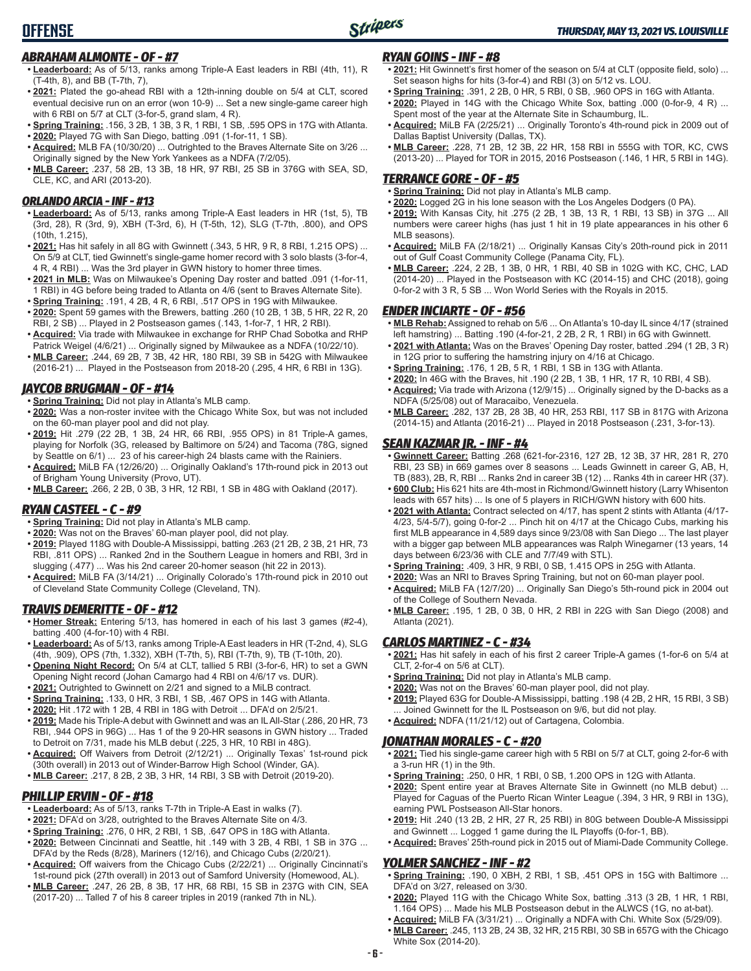#### *ABRAHAM ALMONTE - OF - #7*

**OFFENSE**

- **• Leaderboard:** As of 5/13, ranks among Triple-A East leaders in RBI (4th, 11), R (T-4th, 8), and BB (T-7th, 7),
- **• 2021:** Plated the go-ahead RBI with a 12th-inning double on 5/4 at CLT, scored eventual decisive run on an error (won 10-9) ... Set a new single-game career high with 6 RBI on 5/7 at CLT (3-for-5, grand slam, 4 R).
- **• Spring Training:** .156, 3 2B, 1 3B, 3 R, 1 RBI, 1 SB, .595 OPS in 17G with Atlanta.
- **• 2020:** Played 7G with San Diego, batting .091 (1-for-11, 1 SB).
- **• Acquired:** MLB FA (10/30/20) ... Outrighted to the Braves Alternate Site on 3/26 ... Originally signed by the New York Yankees as a NDFA (7/2/05).
- **• MLB Career:** .237, 58 2B, 13 3B, 18 HR, 97 RBI, 25 SB in 376G with SEA, SD, CLE, KC, and ARI (2013-20).

#### *ORLANDO ARCIA - INF - #13*

- **• Leaderboard:** As of 5/13, ranks among Triple-A East leaders in HR (1st, 5), TB (3rd, 28), R (3rd, 9), XBH (T-3rd, 6), H (T-5th, 12), SLG (T-7th, .800), and OPS (10th, 1.215),
- **• 2021:** Has hit safely in all 8G with Gwinnett (.343, 5 HR, 9 R, 8 RBI, 1.215 OPS) ... On 5/9 at CLT, tied Gwinnett's single-game homer record with 3 solo blasts (3-for-4, 4 R, 4 RBI) ... Was the 3rd player in GWN history to homer three times.
- **• 2021 in MLB:** Was on Milwaukee's Opening Day roster and batted .091 (1-for-11, 1 RBI) in 4G before being traded to Atlanta on 4/6 (sent to Braves Alternate Site). **• Spring Training:** .191, 4 2B, 4 R, 6 RBI, .517 OPS in 19G with Milwaukee.
- **• 2020:** Spent 59 games with the Brewers, batting .260 (10 2B, 1 3B, 5 HR, 22 R, 20 RBI, 2 SB) ... Played in 2 Postseason games (.143, 1-for-7, 1 HR, 2 RBI).
- **• Acquired:** Via trade with Milwaukee in exchange for RHP Chad Sobotka and RHP Patrick Weigel (4/6/21) ... Originally signed by Milwaukee as a NDFA (10/22/10).
- **• MLB Career:** .244, 69 2B, 7 3B, 42 HR, 180 RBI, 39 SB in 542G with Milwaukee (2016-21) ... Played in the Postseason from 2018-20 (.295, 4 HR, 6 RBI in 13G).

#### *JAYCOB BRUGMAN - OF - #14*

- **• Spring Training:** Did not play in Atlanta's MLB camp.
- **• 2020:** Was a non-roster invitee with the Chicago White Sox, but was not included on the 60-man player pool and did not play.
- **• 2019:** Hit .279 (22 2B, 1 3B, 24 HR, 66 RBI, .955 OPS) in 81 Triple-A games, playing for Norfolk (3G, released by Baltimore on 5/24) and Tacoma (78G, signed by Seattle on 6/1) ... 23 of his career-high 24 blasts came with the Rainiers.
- **• Acquired:** MiLB FA (12/26/20) ... Originally Oakland's 17th-round pick in 2013 out of Brigham Young University (Provo, UT).
- **• MLB Career:** .266, 2 2B, 0 3B, 3 HR, 12 RBI, 1 SB in 48G with Oakland (2017).

#### *RYAN CASTEEL - C - #9*

- **• Spring Training:** Did not play in Atlanta's MLB camp.
- **• 2020:** Was not on the Braves' 60-man player pool, did not play.
- **• 2019:** Played 118G with Double-A Mississippi, batting .263 (21 2B, 2 3B, 21 HR, 73 RBI, .811 OPS) ... Ranked 2nd in the Southern League in homers and RBI, 3rd in slugging (.477) ... Was his 2nd career 20-homer season (hit 22 in 2013).
- **• Acquired:** MiLB FA (3/14/21) ... Originally Colorado's 17th-round pick in 2010 out of Cleveland State Community College (Cleveland, TN).

#### *TRAVIS DEMERITTE - OF - #12*

- **• Homer Streak:** Entering 5/13, has homered in each of his last 3 games (#2-4), batting .400 (4-for-10) with 4 RBI.
- **• Leaderboard:** As of 5/13, ranks among Triple-A East leaders in HR (T-2nd, 4), SLG (4th, .909), OPS (7th, 1.332), XBH (T-7th, 5), RBI (T-7th, 9), TB (T-10th, 20).
- **• Opening Night Record:** On 5/4 at CLT, tallied 5 RBI (3-for-6, HR) to set a GWN Opening Night record (Johan Camargo had 4 RBI on 4/6/17 vs. DUR).
- **• 2021:** Outrighted to Gwinnett on 2/21 and signed to a MiLB contract.
- **• Spring Training:** .133, 0 HR, 3 RBI, 1 SB, .467 OPS in 14G with Atlanta.
- **• 2020:** Hit .172 with 1 2B, 4 RBI in 18G with Detroit ... DFA'd on 2/5/21.
- **• 2019:** Made his Triple-A debut with Gwinnett and was an IL All-Star (.286, 20 HR, 73 RBI, .944 OPS in 96G) ... Has 1 of the 9 20-HR seasons in GWN history ... Traded to Detroit on 7/31, made his MLB debut (.225, 3 HR, 10 RBI in 48G).
- **• Acquired:** Off Waivers from Detroit (2/12/21) ... Originally Texas' 1st-round pick (30th overall) in 2013 out of Winder-Barrow High School (Winder, GA).
- **• MLB Career:** .217, 8 2B, 2 3B, 3 HR, 14 RBI, 3 SB with Detroit (2019-20).

### *PHILLIP ERVIN - OF - #18*

- **• Leaderboard:** As of 5/13, ranks T-7th in Triple-A East in walks (7).
- **• 2021:** DFA'd on 3/28, outrighted to the Braves Alternate Site on 4/3.
- **• Spring Training:** .276, 0 HR, 2 RBI, 1 SB, .647 OPS in 18G with Atlanta.
- **• 2020:** Between Cincinnati and Seattle, hit .149 with 3 2B, 4 RBI, 1 SB in 37G ... DFA'd by the Reds (8/28), Mariners (12/16), and Chicago Cubs (2/20/21).
- **• Acquired:** Off waivers from the Chicago Cubs (2/22/21) ... Originally Cincinnati's 1st-round pick (27th overall) in 2013 out of Samford University (Homewood, AL).
- **• MLB Career:** .247, 26 2B, 8 3B, 17 HR, 68 RBI, 15 SB in 237G with CIN, SEA (2017-20) ... Talled 7 of his 8 career triples in 2019 (ranked 7th in NL).

#### *RYAN GOINS - INF - #8*

- **• 2021:** Hit Gwinnett's first homer of the season on 5/4 at CLT (opposite field, solo) ... Set season highs for hits (3-for-4) and RBI (3) on 5/12 vs. LOU.
- **• Spring Training:** .391, 2 2B, 0 HR, 5 RBI, 0 SB, .960 OPS in 16G with Atlanta.
- **• 2020:** Played in 14G with the Chicago White Sox, batting .000 (0-for-9, 4 R) ... Spent most of the year at the Alternate Site in Schaumburg, IL.
- **• Acquired:** MiLB FA (2/25/21) ... Originally Toronto's 4th-round pick in 2009 out of Dallas Baptist University (Dallas, TX).
- **• MLB Career:** .228, 71 2B, 12 3B, 22 HR, 158 RBI in 555G with TOR, KC, CWS (2013-20) ... Played for TOR in 2015, 2016 Postseason (.146, 1 HR, 5 RBI in 14G).

#### *TERRANCE GORE - OF - #5*

- **• Spring Training:** Did not play in Atlanta's MLB camp.
- **• 2020:** Logged 2G in his lone season with the Los Angeles Dodgers (0 PA).
- **• 2019:** With Kansas City, hit .275 (2 2B, 1 3B, 13 R, 1 RBI, 13 SB) in 37G ... All numbers were career highs (has just 1 hit in 19 plate appearances in his other 6 MLB seasons).
- **• Acquired:** MiLB FA (2/18/21) ... Originally Kansas City's 20th-round pick in 2011 out of Gulf Coast Community College (Panama City, FL).
- **• MLB Career:** .224, 2 2B, 1 3B, 0 HR, 1 RBI, 40 SB in 102G with KC, CHC, LAD (2014-20) ... Played in the Postseason with KC (2014-15) and CHC (2018), going 0-for-2 with 3 R, 5 SB ... Won World Series with the Royals in 2015.

#### *ENDER INCIARTE - OF - #56*

- **• MLB Rehab:** Assigned to rehab on 5/6 ... On Atlanta's 10-day IL since 4/17 (strained left hamstring) ... Batting .190 (4-for-21, 2 2B, 2 R, 1 RBI) in 6G with Gwinnett.
- **• 2021 with Atlanta:** Was on the Braves' Opening Day roster, batted .294 (1 2B, 3 R) in 12G prior to suffering the hamstring injury on 4/16 at Chicago.
- **• Spring Training:** .176, 1 2B, 5 R, 1 RBI, 1 SB in 13G with Atlanta.
- **• 2020:** In 46G with the Braves, hit .190 (2 2B, 1 3B, 1 HR, 17 R, 10 RBI, 4 SB).
- **• Acquired:** Via trade with Arizona (12/9/15) ... Originally signed by the D-backs as a NDFA (5/25/08) out of Maracaibo, Venezuela.
- **• MLB Career:** .282, 137 2B, 28 3B, 40 HR, 253 RBI, 117 SB in 817G with Arizona (2014-15) and Atlanta (2016-21) ... Played in 2018 Postseason (.231, 3-for-13).

#### *SEAN KAZMAR JR. - INF - #4*

- **• Gwinnett Career:** Batting .268 (621-for-2316, 127 2B, 12 3B, 37 HR, 281 R, 270 RBI, 23 SB) in 669 games over 8 seasons ... Leads Gwinnett in career G, AB, H, TB (883), 2B, R, RBI ... Ranks 2nd in career 3B (12) ... Ranks 4th in career HR (37).
- **• 600 Club:** His 621 hits are 4th-most in Richmond/Gwinnett history (Larry Whisenton leads with 657 hits) ... Is one of 5 players in RICH/GWN history with 600 hits.
- **• 2021 with Atlanta:** Contract selected on 4/17, has spent 2 stints with Atlanta (4/17- 4/23, 5/4-5/7), going 0-for-2 ... Pinch hit on 4/17 at the Chicago Cubs, marking his first MLB appearance in 4,589 days since 9/23/08 with San Diego ... The last player with a bigger gap between MLB appearances was Ralph Winegarner (13 years, 14 days between 6/23/36 with CLE and 7/7/49 with STL).
- **• Spring Training:** .409, 3 HR, 9 RBI, 0 SB, 1.415 OPS in 25G with Atlanta.
- **• 2020:** Was an NRI to Braves Spring Training, but not on 60-man player pool.
- **• Acquired:** MiLB FA (12/7/20) ... Originally San Diego's 5th-round pick in 2004 out of the College of Southern Nevada.
- **• MLB Career:** .195, 1 2B, 0 3B, 0 HR, 2 RBI in 22G with San Diego (2008) and Atlanta (2021).

#### *CARLOS MARTINEZ - C - #34*

- **• 2021:** Has hit safely in each of his first 2 career Triple-A games (1-for-6 on 5/4 at CLT, 2-for-4 on 5/6 at CLT).
- **• Spring Training:** Did not play in Atlanta's MLB camp.
- **• 2020:** Was not on the Braves' 60-man player pool, did not play.
- **• 2019:** Played 63G for Double-A Mississippi, batting .198 (4 2B, 2 HR, 15 RBI, 3 SB) Joined Gwinnett for the IL Postseason on 9/6, but did not play.
- **• Acquired:** NDFA (11/21/12) out of Cartagena, Colombia.

### *JONATHAN MORALES - C - #20*

- **• 2021:** Tied his single-game career high with 5 RBI on 5/7 at CLT, going 2-for-6 with a 3-run HR (1) in the 9th.
- **• Spring Training:** .250, 0 HR, 1 RBI, 0 SB, 1.200 OPS in 12G with Atlanta.
- **• 2020:** Spent entire year at Braves Alternate Site in Gwinnett (no MLB debut) ... Played for Caguas of the Puerto Rican Winter League (.394, 3 HR, 9 RBI in 13G), earning PWL Postseason All-Star honors.
- **• 2019:** Hit .240 (13 2B, 2 HR, 27 R, 25 RBI) in 80G between Double-A Mississippi and Gwinnett ... Logged 1 game during the IL Playoffs (0-for-1, BB).
- **• Acquired:** Braves' 25th-round pick in 2015 out of Miami-Dade Community College.

### *YOLMER SANCHEZ - INF - #2*

- **• Spring Training:** .190, 0 XBH, 2 RBI, 1 SB, .451 OPS in 15G with Baltimore ... DFA'd on 3/27, released on 3/30.
- **• 2020:** Played 11G with the Chicago White Sox, batting .313 (3 2B, 1 HR, 1 RBI, 1.164 OPS) ... Made his MLB Postseason debut in the ALWCS (1G, no at-bat).
- **• Acquired:** MiLB FA (3/31/21) ... Originally a NDFA with Chi. White Sox (5/29/09). **• MLB Career:** .245, 113 2B, 24 3B, 32 HR, 215 RBI, 30 SB in 657G with the Chicago White Sox (2014-20).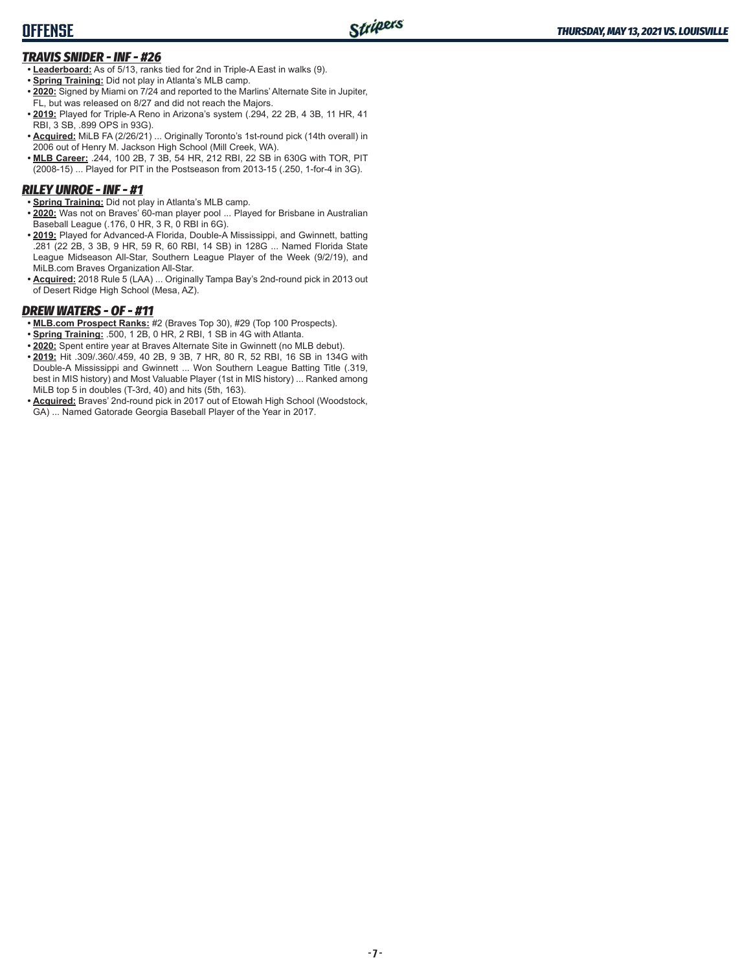### **OFFENSE**

### *TRAVIS SNIDER - INF - #26*

- **• Leaderboard:** As of 5/13, ranks tied for 2nd in Triple-A East in walks (9).
- **• Spring Training:** Did not play in Atlanta's MLB camp.
- **• 2020:** Signed by Miami on 7/24 and reported to the Marlins' Alternate Site in Jupiter, FL, but was released on 8/27 and did not reach the Majors.
- **• 2019:** Played for Triple-A Reno in Arizona's system (.294, 22 2B, 4 3B, 11 HR, 41 RBI, 3 SB, .899 OPS in 93G).
- **• Acquired:** MiLB FA (2/26/21) ... Originally Toronto's 1st-round pick (14th overall) in 2006 out of Henry M. Jackson High School (Mill Creek, WA).
- **• MLB Career:** .244, 100 2B, 7 3B, 54 HR, 212 RBI, 22 SB in 630G with TOR, PIT (2008-15) ... Played for PIT in the Postseason from 2013-15 (.250, 1-for-4 in 3G).

### *RILEY UNROE - INF - #1*

- **• Spring Training:** Did not play in Atlanta's MLB camp.
- **• 2020:** Was not on Braves' 60-man player pool ... Played for Brisbane in Australian Baseball League (.176, 0 HR, 3 R, 0 RBI in 6G).
- **• 2019:** Played for Advanced-A Florida, Double-A Mississippi, and Gwinnett, batting .281 (22 2B, 3 3B, 9 HR, 59 R, 60 RBI, 14 SB) in 128G ... Named Florida State League Midseason All-Star, Southern League Player of the Week (9/2/19), and MiLB.com Braves Organization All-Star.
- **• Acquired:** 2018 Rule 5 (LAA) ... Originally Tampa Bay's 2nd-round pick in 2013 out of Desert Ridge High School (Mesa, AZ).

### *DREW WATERS - OF - #11*

- **• MLB.com Prospect Ranks:** #2 (Braves Top 30), #29 (Top 100 Prospects).
- **• Spring Training:** .500, 1 2B, 0 HR, 2 RBI, 1 SB in 4G with Atlanta.
- **• 2020:** Spent entire year at Braves Alternate Site in Gwinnett (no MLB debut).
- **• 2019:** Hit .309/.360/.459, 40 2B, 9 3B, 7 HR, 80 R, 52 RBI, 16 SB in 134G with Double-A Mississippi and Gwinnett ... Won Southern League Batting Title (.319, best in MIS history) and Most Valuable Player (1st in MIS history) ... Ranked among MiLB top 5 in doubles (T-3rd, 40) and hits (5th, 163).
- **• Acquired:** Braves' 2nd-round pick in 2017 out of Etowah High School (Woodstock, GA) ... Named Gatorade Georgia Baseball Player of the Year in 2017.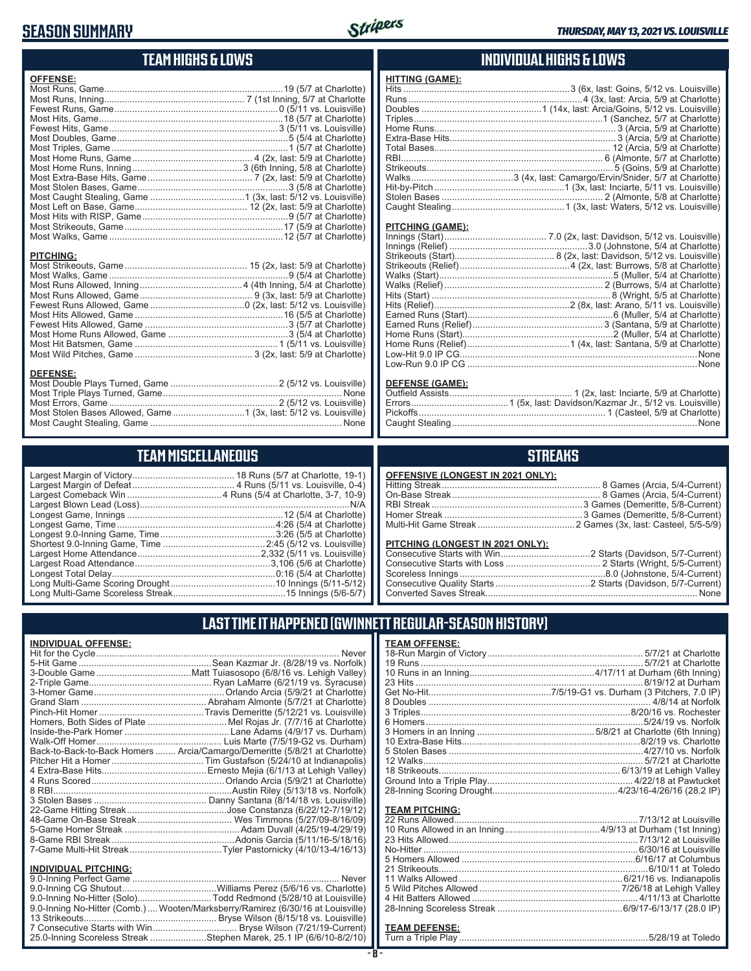### **SEASON SUMMARY**



### **TEAM HIGHS & LOWS**

| <b>OFFENSE:</b>                                                                      |  |
|--------------------------------------------------------------------------------------|--|
|                                                                                      |  |
|                                                                                      |  |
|                                                                                      |  |
|                                                                                      |  |
|                                                                                      |  |
|                                                                                      |  |
|                                                                                      |  |
|                                                                                      |  |
|                                                                                      |  |
|                                                                                      |  |
|                                                                                      |  |
|                                                                                      |  |
|                                                                                      |  |
|                                                                                      |  |
|                                                                                      |  |
|                                                                                      |  |
|                                                                                      |  |
| <b>PITCHING:</b>                                                                     |  |
| <b>DEFENSE:</b><br>Most Stolen Bases Allowed, Game 1 (3x, last: 5/12 vs. Louisville) |  |

### **TEAM MISCELLANEOUS**

Most Caught Stealing, Game None

### **INDIVIDUAL HIGHS & LOWS**

| <b>HITTING (GAME):</b> |                                                                           |
|------------------------|---------------------------------------------------------------------------|
|                        |                                                                           |
|                        |                                                                           |
|                        |                                                                           |
|                        |                                                                           |
|                        |                                                                           |
|                        |                                                                           |
|                        |                                                                           |
|                        |                                                                           |
|                        |                                                                           |
|                        |                                                                           |
|                        | Hit-by-Pitch………………………………………………1 (3x, last: Inciarte, 5/11 vs. Louisville) |
|                        |                                                                           |
|                        |                                                                           |

#### **PITCHING (GAME):**

| Low-Run 9.0 IP CG ………………………………………………………………………………………None |
|---------------------------------------------------------|
|                                                         |

#### **DEFENSE (GAME):**

### **STREAKS**

| <b>OFFENSIVE (LONGEST IN 2021 ONLY):</b> |  |
|------------------------------------------|--|
|                                          |  |
|                                          |  |
|                                          |  |
|                                          |  |
|                                          |  |
|                                          |  |

#### **PITCHING (LONGEST IN 2021 ONLY):**

### **LAST TIME IT HAPPENED (GWINNETT REGULAR-SEASON HISTORY)**

| <b>INDIVIDUAL OFFENSE:</b>  |                                                                                 |
|-----------------------------|---------------------------------------------------------------------------------|
|                             |                                                                                 |
|                             |                                                                                 |
|                             |                                                                                 |
|                             |                                                                                 |
|                             |                                                                                 |
|                             |                                                                                 |
|                             |                                                                                 |
|                             | Homers, Both Sides of Plate Mel Rojas Jr. (7/7/16 at Charlotte)                 |
|                             |                                                                                 |
|                             |                                                                                 |
|                             | Back-to-Back-to-Back Homers  Arcia/Camargo/Demeritte (5/8/21 at Charlotte)      |
|                             |                                                                                 |
|                             |                                                                                 |
|                             |                                                                                 |
|                             |                                                                                 |
|                             |                                                                                 |
|                             |                                                                                 |
|                             |                                                                                 |
|                             |                                                                                 |
|                             |                                                                                 |
|                             |                                                                                 |
| <b>INDIVIDUAL PITCHING:</b> |                                                                                 |
|                             |                                                                                 |
|                             |                                                                                 |
|                             | 9.0-Inning No-Hitter (Solo)Todd Redmond (5/28/10 at Louisville)                 |
|                             | 9.0-Inning No-Hitter (Comb.)  Wooten/Marksberry/Ramirez (6/30/16 at Louisville) |
|                             |                                                                                 |

7 Consecutive Starts with Win................................ Bryse Wilson (7/21/19-Current) 25.0-Inning Scoreless Streak ......................Stephen Marek, 25.1 IP (6/6/10-8/2/10)

| <b>TEAM OFFENSE:</b> |  |
|----------------------|--|
|                      |  |
|                      |  |
|                      |  |
|                      |  |
|                      |  |
|                      |  |
|                      |  |
|                      |  |
|                      |  |
|                      |  |
|                      |  |
|                      |  |
|                      |  |
|                      |  |
|                      |  |
|                      |  |

#### **TEAM PITCHING:**

#### **TEAM DEFENSE:**